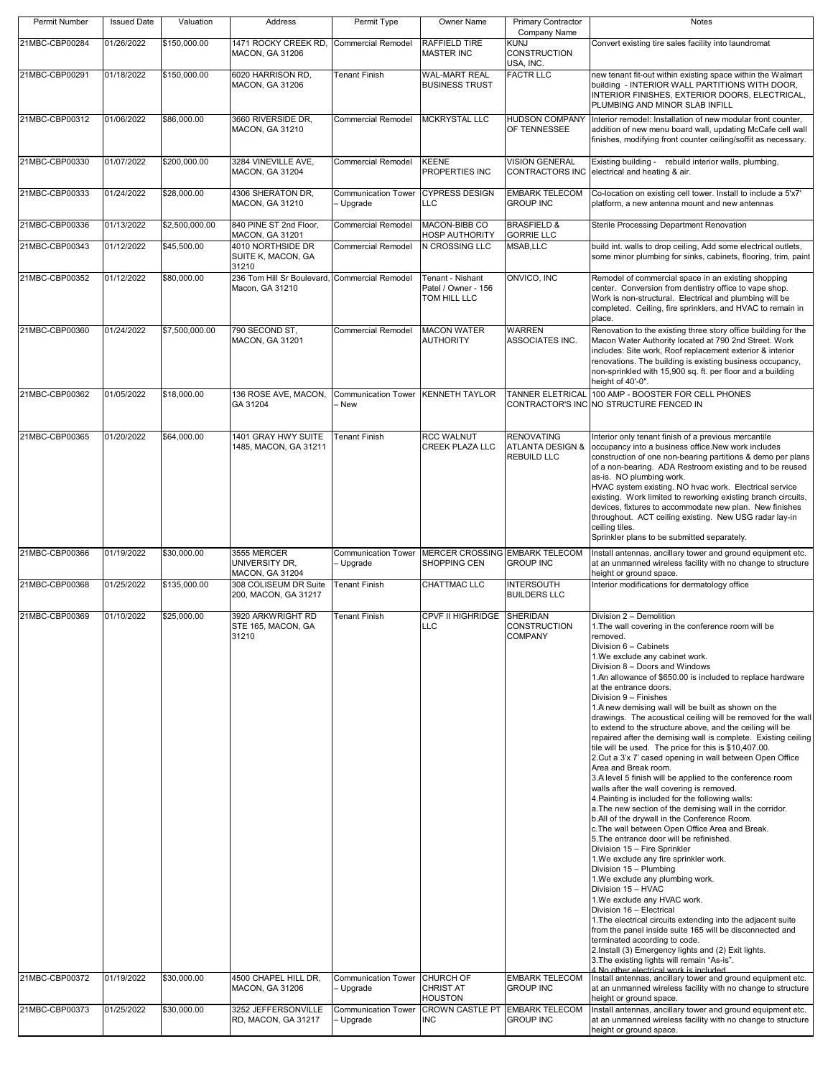| Permit Number  | <b>Issued Date</b> | Valuation      | Address                                                             | Permit Type                             | Owner Name                                              | <b>Primary Contractor</b><br>Company Name                              | Notes                                                                                                                                                                                                                                                                                                                                                                                                                                                                                                                                                                                                                                                                                                                                                                                                                                                                                                                                                                                                                                                                                                                                                                                                                                                                                                                                                                                                                                                                                                                                                                                                                           |
|----------------|--------------------|----------------|---------------------------------------------------------------------|-----------------------------------------|---------------------------------------------------------|------------------------------------------------------------------------|---------------------------------------------------------------------------------------------------------------------------------------------------------------------------------------------------------------------------------------------------------------------------------------------------------------------------------------------------------------------------------------------------------------------------------------------------------------------------------------------------------------------------------------------------------------------------------------------------------------------------------------------------------------------------------------------------------------------------------------------------------------------------------------------------------------------------------------------------------------------------------------------------------------------------------------------------------------------------------------------------------------------------------------------------------------------------------------------------------------------------------------------------------------------------------------------------------------------------------------------------------------------------------------------------------------------------------------------------------------------------------------------------------------------------------------------------------------------------------------------------------------------------------------------------------------------------------------------------------------------------------|
| 21MBC-CBP00284 | 01/26/2022         | \$150,000.00   | 1471 ROCKY CREEK RD<br>MACON, GA 31206                              | <b>Commercial Remodel</b>               | RAFFIELD TIRE<br><b>MASTER INC</b>                      | <b>KUNJ</b><br>CONSTRUCTION<br>USA, INC.                               | Convert existing tire sales facility into laundromat                                                                                                                                                                                                                                                                                                                                                                                                                                                                                                                                                                                                                                                                                                                                                                                                                                                                                                                                                                                                                                                                                                                                                                                                                                                                                                                                                                                                                                                                                                                                                                            |
| 21MBC-CBP00291 | 01/18/2022         | \$150,000.00   | 6020 HARRISON RD,<br>MACON, GA 31206                                | <b>Tenant Finish</b>                    | <b>WAL-MART REAL</b><br><b>BUSINESS TRUST</b>           | <b>FACTR LLC</b>                                                       | new tenant fit-out within existing space within the Walmart<br>building - INTERIOR WALL PARTITIONS WITH DOOR,<br>INTERIOR FINISHES, EXTERIOR DOORS, ELECTRICAL,<br>PLUMBING AND MINOR SLAB INFILL                                                                                                                                                                                                                                                                                                                                                                                                                                                                                                                                                                                                                                                                                                                                                                                                                                                                                                                                                                                                                                                                                                                                                                                                                                                                                                                                                                                                                               |
| 21MBC-CBP00312 | 01/06/2022         | \$86,000.00    | 3660 RIVERSIDE DR,<br>MACON, GA 31210                               | <b>Commercial Remodel</b>               | <b>MCKRYSTAL LLC</b>                                    | <b>HUDSON COMPANY</b><br>OF TENNESSEE                                  | Interior remodel: Installation of new modular front counter,<br>addition of new menu board wall, updating McCafe cell wall<br>finishes, modifying front counter ceiling/soffit as necessary.                                                                                                                                                                                                                                                                                                                                                                                                                                                                                                                                                                                                                                                                                                                                                                                                                                                                                                                                                                                                                                                                                                                                                                                                                                                                                                                                                                                                                                    |
| 21MBC-CBP00330 | 01/07/2022         | \$200,000.00   | 3284 VINEVILLE AVE,<br>MACON, GA 31204                              | <b>Commercial Remodel</b>               | KEENE<br>PROPERTIES INC                                 | <b>VISION GENERAL</b>                                                  | Existing building - rebuild interior walls, plumbing,<br>CONTRACTORS INC electrical and heating & air.                                                                                                                                                                                                                                                                                                                                                                                                                                                                                                                                                                                                                                                                                                                                                                                                                                                                                                                                                                                                                                                                                                                                                                                                                                                                                                                                                                                                                                                                                                                          |
| 21MBC-CBP00333 | 01/24/2022         | \$28,000.00    | 4306 SHERATON DR,<br>MACON, GA 31210                                | <b>Communication Tower</b><br>Upgrade   | <b>CYPRESS DESIGN</b><br>LLC                            | <b>EMBARK TELECOM</b><br><b>GROUP INC</b>                              | Co-location on existing cell tower. Install to include a 5'x7'<br>platform, a new antenna mount and new antennas                                                                                                                                                                                                                                                                                                                                                                                                                                                                                                                                                                                                                                                                                                                                                                                                                                                                                                                                                                                                                                                                                                                                                                                                                                                                                                                                                                                                                                                                                                                |
| 21MBC-CBP00336 | 01/13/2022         | \$2,500,000.00 | 840 PINE ST 2nd Floor,                                              | <b>Commercial Remodel</b>               | MACON-BIBB CO                                           | <b>BRASFIELD &amp;</b>                                                 | Sterile Processing Department Renovation                                                                                                                                                                                                                                                                                                                                                                                                                                                                                                                                                                                                                                                                                                                                                                                                                                                                                                                                                                                                                                                                                                                                                                                                                                                                                                                                                                                                                                                                                                                                                                                        |
| 21MBC-CBP00343 | 01/12/2022         | \$45,500.00    | MACON, GA 31201<br>4010 NORTHSIDE DR<br>SUITE K, MACON, GA<br>31210 | Commercial Remodel                      | HOSP AUTHORITY<br>N CROSSING LLC                        | <b>GORRIE LLC</b><br>MSAB, LLC                                         | build int. walls to drop ceiling, Add some electrical outlets,<br>some minor plumbing for sinks, cabinets, flooring, trim, paint                                                                                                                                                                                                                                                                                                                                                                                                                                                                                                                                                                                                                                                                                                                                                                                                                                                                                                                                                                                                                                                                                                                                                                                                                                                                                                                                                                                                                                                                                                |
| 21MBC-CBP00352 | 01/12/2022         | \$80,000.00    | 236 Tom Hill Sr Boulevard, Commercial Remodel<br>Macon, GA 31210    |                                         | Tenant - Nishant<br>Patel / Owner - 156<br>TOM HILL LLC | ONVICO, INC                                                            | Remodel of commercial space in an existing shopping<br>center. Conversion from dentistry office to vape shop.<br>Work is non-structural. Electrical and plumbing will be<br>completed. Ceiling, fire sprinklers, and HVAC to remain in<br>place.                                                                                                                                                                                                                                                                                                                                                                                                                                                                                                                                                                                                                                                                                                                                                                                                                                                                                                                                                                                                                                                                                                                                                                                                                                                                                                                                                                                |
| 21MBC-CBP00360 | 01/24/2022         | \$7,500,000.00 | 790 SECOND ST.<br>MACON, GA 31201                                   | <b>Commercial Remodel</b>               | <b>MACON WATER</b><br><b>AUTHORITY</b>                  | <b>WARREN</b><br>ASSOCIATES INC.                                       | Renovation to the existing three story office building for the<br>Macon Water Authority located at 790 2nd Street. Work<br>includes: Site work, Roof replacement exterior & interior<br>renovations. The building is existing business occupancy,<br>non-sprinkled with 15,900 sq. ft. per floor and a building<br>height of 40'-0".                                                                                                                                                                                                                                                                                                                                                                                                                                                                                                                                                                                                                                                                                                                                                                                                                                                                                                                                                                                                                                                                                                                                                                                                                                                                                            |
| 21MBC-CBP00362 | 01/05/2022         | \$18,000.00    | 136 ROSE AVE, MACON,<br>GA 31204                                    | <b>Communication Tower</b><br>- New     | KENNETH TAYLOR                                          | <b>TANNER ELETRICAL</b>                                                | 100 AMP - BOOSTER FOR CELL PHONES<br>CONTRACTOR'S INC NO STRUCTURE FENCED IN                                                                                                                                                                                                                                                                                                                                                                                                                                                                                                                                                                                                                                                                                                                                                                                                                                                                                                                                                                                                                                                                                                                                                                                                                                                                                                                                                                                                                                                                                                                                                    |
| 21MBC-CBP00365 | 01/20/2022         | \$64,000.00    | 1401 GRAY HWY SUITE<br>1485, MACON, GA 31211                        | <b>Tenant Finish</b>                    | <b>RCC WALNUT</b><br><b>CREEK PLAZA LLC</b>             | <b>RENOVATING</b><br><b>ATLANTA DESIGN &amp;</b><br><b>REBUILD LLC</b> | Interior only tenant finish of a previous mercantile<br>occupancy into a business office. New work includes<br>construction of one non-bearing partitions & demo per plans<br>of a non-bearing. ADA Restroom existing and to be reused<br>as-is. NO plumbing work.<br>HVAC system existing. NO hvac work. Electrical service<br>existing. Work limited to reworking existing branch circuits,<br>devices, fixtures to accommodate new plan. New finishes<br>throughout. ACT ceiling existing. New USG radar lay-in<br>ceiling tiles.<br>Sprinkler plans to be submitted separately.                                                                                                                                                                                                                                                                                                                                                                                                                                                                                                                                                                                                                                                                                                                                                                                                                                                                                                                                                                                                                                             |
| 21MBC-CBP00366 | 01/19/2022         | \$30,000.00    | 3555 MERCER<br>UNIVERSITY DR.<br>MACON, GA 31204                    | <b>Communication Tower</b><br>Upgrade   | <b>MERCER CROSSING EMBARK TELECOM</b><br>SHOPPING CEN   | <b>GROUP INC</b>                                                       | Install antennas, ancillary tower and ground equipment etc.<br>at an unmanned wireless facility with no change to structure<br>height or ground space.                                                                                                                                                                                                                                                                                                                                                                                                                                                                                                                                                                                                                                                                                                                                                                                                                                                                                                                                                                                                                                                                                                                                                                                                                                                                                                                                                                                                                                                                          |
| 21MBC-CBP00368 | 01/25/2022         | \$135,000.00   | 308 COLISEUM DR Suite<br>200, MACON, GA 31217                       | <b>Tenant Finish</b>                    | CHATTMAC LLC                                            | <b>INTERSOUTH</b><br><b>BUILDERS LLC</b>                               | Interior modifications for dermatology office                                                                                                                                                                                                                                                                                                                                                                                                                                                                                                                                                                                                                                                                                                                                                                                                                                                                                                                                                                                                                                                                                                                                                                                                                                                                                                                                                                                                                                                                                                                                                                                   |
| 21MBC-CBP00369 | 01/10/2022         | \$25,000.00    | 3920 ARKWRIGHT RD<br>STE 165, MACON, GA<br>31210                    | <b>Tenant Finish</b>                    | CPVF II HIGHRIDGE<br>-LU                                | <b>SHERIDAN</b><br>CONSTRUCTION<br><b>COMPANY</b>                      | Division 2 - Demolition<br>1. The wall covering in the conference room will be<br>removed.<br>Division 6 - Cabinets<br>1. We exclude any cabinet work.<br>Division 8 - Doors and Windows<br>1.An allowance of \$650.00 is included to replace hardware<br>at the entrance doors.<br>Division 9 - Finishes<br>1.A new demising wall will be built as shown on the<br>drawings. The acoustical ceiling will be removed for the wall<br>to extend to the structure above, and the ceiling will be<br>repaired after the demising wall is complete. Existing ceiling<br>tile will be used. The price for this is \$10,407.00.<br>2. Cut a 3'x 7' cased opening in wall between Open Office<br>Area and Break room.<br>3.A level 5 finish will be applied to the conference room<br>walls after the wall covering is removed.<br>4. Painting is included for the following walls:<br>a. The new section of the demising wall in the corridor.<br>b.All of the drywall in the Conference Room.<br>c. The wall between Open Office Area and Break.<br>5. The entrance door will be refinished.<br>Division 15 - Fire Sprinkler<br>1. We exclude any fire sprinkler work.<br>Division 15 - Plumbing<br>1. We exclude any plumbing work.<br>Division 15 - HVAC<br>1. We exclude any HVAC work.<br>Division 16 - Electrical<br>1. The electrical circuits extending into the adjacent suite<br>from the panel inside suite 165 will be disconnected and<br>terminated according to code.<br>2. Install (3) Emergency lights and (2) Exit lights.<br>3. The existing lights will remain "As-is".<br>4 No other electrical work is included |
| 21MBC-CBP00372 | 01/19/2022         | \$30,000.00    | 4500 CHAPEL HILL DR.<br>MACON, GA 31206                             | <b>Communication Tower</b><br>- Upgrade | <b>CHURCH OF</b><br><b>CHRIST AT</b><br><b>HOUSTON</b>  | <b>EMBARK TELECOM</b><br><b>GROUP INC</b>                              | Install antennas, ancillary tower and ground equipment etc.<br>at an unmanned wireless facility with no change to structure<br>height or ground space.                                                                                                                                                                                                                                                                                                                                                                                                                                                                                                                                                                                                                                                                                                                                                                                                                                                                                                                                                                                                                                                                                                                                                                                                                                                                                                                                                                                                                                                                          |
| 21MBC-CBP00373 | 01/25/2022         | \$30,000.00    | 3252 JEFFERSONVILLE<br>RD, MACON, GA 31217                          | <b>Communication Tower</b><br>Upgrade   | <b>CROWN CASTLE PT EMBARK TELECOM</b><br><b>INC</b>     | <b>GROUP INC</b>                                                       | Install antennas, ancillary tower and ground equipment etc.<br>at an unmanned wireless facility with no change to structure<br>height or ground space.                                                                                                                                                                                                                                                                                                                                                                                                                                                                                                                                                                                                                                                                                                                                                                                                                                                                                                                                                                                                                                                                                                                                                                                                                                                                                                                                                                                                                                                                          |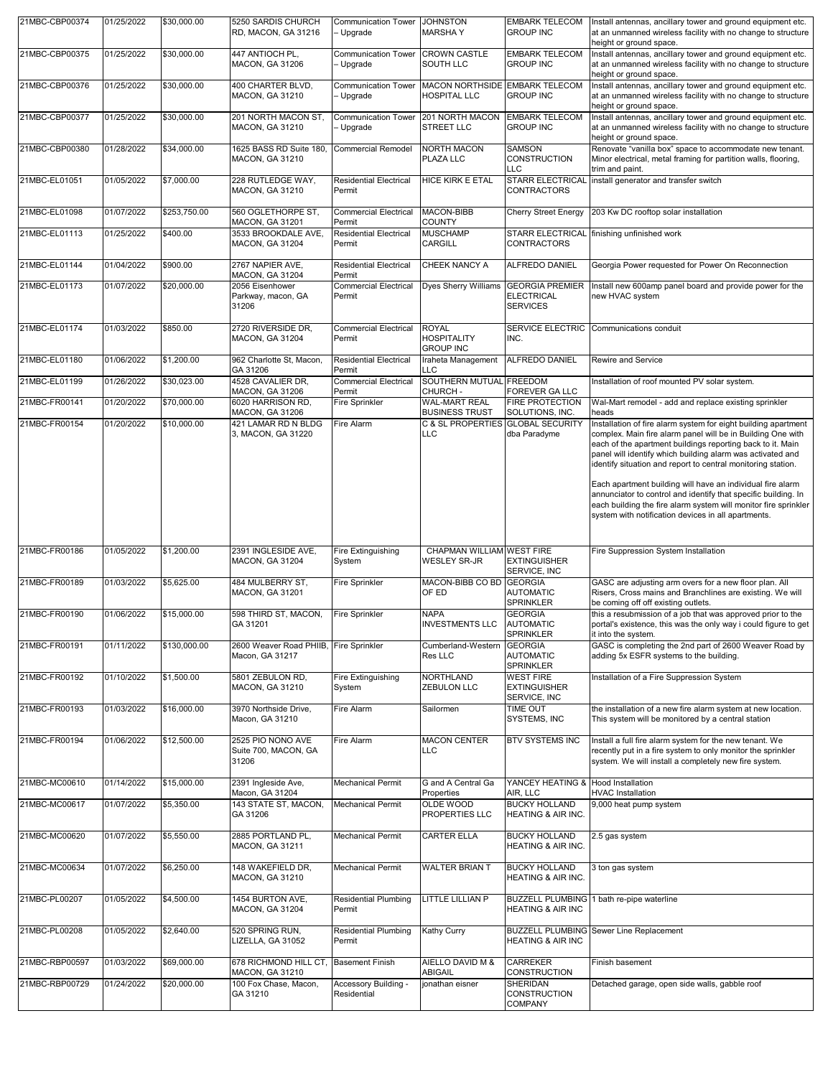| 21MBC-CBP00374 | 01/25/2022 | \$30,000.00  | 5250 SARDIS CHURCH<br>RD, MACON, GA 31216                 | <b>Communication Tower</b><br>- Upgrade | <b>JOHNSTON</b><br><b>MARSHAY</b>                      | <b>EMBARK TELECOM</b><br><b>GROUP INC</b>                      | Install antennas, ancillary tower and ground equipment etc.<br>at an unmanned wireless facility with no change to structure<br>height or ground space.                                                                                                                                                                                                                                                                                                                                                                                                                              |
|----------------|------------|--------------|-----------------------------------------------------------|-----------------------------------------|--------------------------------------------------------|----------------------------------------------------------------|-------------------------------------------------------------------------------------------------------------------------------------------------------------------------------------------------------------------------------------------------------------------------------------------------------------------------------------------------------------------------------------------------------------------------------------------------------------------------------------------------------------------------------------------------------------------------------------|
| 21MBC-CBP00375 | 01/25/2022 | \$30,000.00  | 447 ANTIOCH PL.<br><b>MACON, GA 31206</b>                 | <b>Communication Tower</b><br>Upgrade   | <b>CROWN CASTLE</b><br><b>SOUTH LLC</b>                | <b>EMBARK TELECOM</b><br><b>GROUP INC</b>                      | Install antennas, ancillary tower and ground equipment etc.<br>at an unmanned wireless facility with no change to structure<br>height or ground space.                                                                                                                                                                                                                                                                                                                                                                                                                              |
| 21MBC-CBP00376 | 01/25/2022 | \$30,000.00  | 400 CHARTER BLVD,<br><b>MACON, GA 31210</b>               | <b>Communication Tower</b><br>Upgrade   | MACON NORTHSIDE EMBARK TELECOM<br><b>HOSPITAL LLC</b>  | <b>GROUP INC</b>                                               | Install antennas, ancillary tower and ground equipment etc.<br>at an unmanned wireless facility with no change to structure<br>height or ground space.                                                                                                                                                                                                                                                                                                                                                                                                                              |
| 21MBC-CBP00377 | 01/25/2022 | \$30,000.00  | 201 NORTH MACON ST,<br><b>MACON, GA 31210</b>             | <b>Communication Tower</b><br>- Upgrade | 201 NORTH MACON<br><b>STREET LLC</b>                   | <b>EMBARK TELECOM</b><br><b>GROUP INC</b>                      | Install antennas, ancillary tower and ground equipment etc.<br>at an unmanned wireless facility with no change to structure<br>height or ground space.                                                                                                                                                                                                                                                                                                                                                                                                                              |
| 21MBC-CBP00380 | 01/28/2022 | \$34,000.00  | 1625 BASS RD Suite 180.<br><b>MACON, GA 31210</b>         | <b>Commercial Remodel</b>               | <b>NORTH MACON</b><br>PLAZA LLC                        | <b>SAMSON</b><br>CONSTRUCTION<br>LLC                           | Renovate "vanilla box" space to accommodate new tenant.<br>Minor electrical, metal framing for partition walls, flooring,<br>trim and paint.                                                                                                                                                                                                                                                                                                                                                                                                                                        |
| 21MBC-EL01051  | 01/05/2022 | \$7,000.00   | 228 RUTLEDGE WAY,<br><b>MACON, GA 31210</b>               | <b>Residential Electrical</b><br>Permit | <b>HICE KIRK E ETAL</b>                                | CONTRACTORS                                                    | STARR ELECTRICAL install generator and transfer switch                                                                                                                                                                                                                                                                                                                                                                                                                                                                                                                              |
| 21MBC-EL01098  | 01/07/2022 | \$253,750.00 | 560 OGLETHORPE ST.<br>MACON, GA 31201                     | <b>Commercial Electrical</b><br>Permit  | MACON-BIBB<br><b>COUNTY</b>                            | Cherry Street Energy                                           | 203 Kw DC rooftop solar installation                                                                                                                                                                                                                                                                                                                                                                                                                                                                                                                                                |
| 21MBC-EL01113  | 01/25/2022 | \$400.00     | 3533 BROOKDALE AVE,<br><b>MACON, GA 31204</b>             | <b>Residential Electrical</b><br>Permit | <b>MUSCHAMP</b><br><b>CARGILL</b>                      | CONTRACTORS                                                    | STARR ELECTRICAL finishing unfinished work                                                                                                                                                                                                                                                                                                                                                                                                                                                                                                                                          |
| 21MBC-EL01144  | 01/04/2022 | \$900.00     | 2767 NAPIER AVE,<br>MACON, GA 31204                       | <b>Residential Electrical</b><br>Permit | CHEEK NANCY A                                          | ALFREDO DANIEL                                                 | Georgia Power requested for Power On Reconnection                                                                                                                                                                                                                                                                                                                                                                                                                                                                                                                                   |
| 21MBC-EL01173  | 01/07/2022 | \$20,000.00  | 2056 Eisenhower<br>Parkway, macon, GA<br>31206            | <b>Commercial Electrical</b><br>Permit  | <b>Dyes Sherry Williams</b>                            | <b>GEORGIA PREMIER</b><br><b>ELECTRICAL</b><br><b>SERVICES</b> | Install new 600amp panel board and provide power for the<br>new HVAC system                                                                                                                                                                                                                                                                                                                                                                                                                                                                                                         |
| 21MBC-EL01174  | 01/03/2022 | \$850.00     | 2720 RIVERSIDE DR.<br><b>MACON, GA 31204</b>              | <b>Commercial Electrical</b><br>Permit  | <b>ROYAL</b><br><b>HOSPITALITY</b><br><b>GROUP INC</b> | INC.                                                           | SERVICE ELECTRIC Communications conduit                                                                                                                                                                                                                                                                                                                                                                                                                                                                                                                                             |
| 21MBC-EL01180  | 01/06/2022 | \$1,200.00   | 962 Charlotte St, Macon,<br>GA 31206                      | <b>Residential Electrical</b><br>Permit | Iraheta Management<br>LLC                              | <b>ALFREDO DANIEL</b>                                          | Rewire and Service                                                                                                                                                                                                                                                                                                                                                                                                                                                                                                                                                                  |
| 21MBC-EL01199  | 01/26/2022 | \$30,023.00  | 4528 CAVALIER DR.<br><b>MACON, GA 31206</b>               | <b>Commercial Electrical</b><br>Permit  | SOUTHERN MUTUAL FREEDOM<br>CHURCH-                     | FOREVER GA LLC                                                 | Installation of roof mounted PV solar system.                                                                                                                                                                                                                                                                                                                                                                                                                                                                                                                                       |
| 21MBC-FR00141  | 01/20/2022 | \$70,000.00  | 6020 HARRISON RD,<br>MACON, GA 31206                      | Fire Sprinkler                          | <b>WAL-MART REAL</b><br><b>BUSINESS TRUST</b>          | <b>FIRE PROTECTION</b><br>SOLUTIONS, INC.                      | Wal-Mart remodel - add and replace existing sprinkler<br>heads                                                                                                                                                                                                                                                                                                                                                                                                                                                                                                                      |
| 21MBC-FR00154  | 01/20/2022 | \$10,000.00  | 421 LAMAR RD N BLDG<br>3, MACON, GA 31220                 | Fire Alarm                              | C & SL PROPERTIES GLOBAL SECURITY<br><b>LLC</b>        | dba Paradyme                                                   | Installation of fire alarm system for eight building apartment<br>complex. Main fire alarm panel will be in Building One with<br>each of the apartment buildings reporting back to it. Main<br>panel will identify which building alarm was activated and<br>identify situation and report to central monitoring station.<br>Each apartment building will have an individual fire alarm<br>annunciator to control and identify that specific building. In<br>each building the fire alarm system will monitor fire sprinkler<br>system with notification devices in all apartments. |
| 21MBC-FR00186  | 01/05/2022 | \$1,200.00   | 2391 INGLESIDE AVE,<br><b>MACON, GA 31204</b>             | <b>Fire Extinguishing</b><br>System     | CHAPMAN WILLIAM WEST FIRE<br><b>WESLEY SR-JR</b>       | <b>EXTINGUISHER</b><br>SERVICE, INC                            | Fire Suppression System Installation                                                                                                                                                                                                                                                                                                                                                                                                                                                                                                                                                |
| 21MBC-FR00189  | 01/03/2022 | \$5,625.00   | 484 MULBERRY ST.<br><b>MACON, GA 31201</b>                | Fire Sprinkler                          | MACON-BIBB CO BD GEORGIA<br>OF ED                      | <b>AUTOMATIC</b><br><b>SPRINKLER</b>                           | GASC are adjusting arm overs for a new floor plan. All<br>Risers, Cross mains and Branchlines are existing. We will<br>be coming off off existing outlets.                                                                                                                                                                                                                                                                                                                                                                                                                          |
| 21MBC-FR00190  | 01/06/2022 | \$15,000.00  | 598 THIRD ST. MACON.<br>GA 31201                          | Fire Sprinkler                          | <b>NAPA</b><br><b>INVESTMENTS LLC</b>                  | <b>GEORGIA</b><br><b>AUTOMATIC</b><br>SPRINKLER                | this a resubmission of a job that was approved prior to the<br>portal's existence, this was the only way i could figure to get<br>it into the system.                                                                                                                                                                                                                                                                                                                                                                                                                               |
| 21MBC-FR00191  | 01/11/2022 | \$130,000.00 | 2600 Weaver Road PHIIB, Fire Sprinkler<br>Macon, GA 31217 |                                         | Cumberland-Western<br>Res LLC                          | <b>GEORGIA</b><br><b>AUTOMATIC</b><br>SPRINKLER                | GASC is completing the 2nd part of 2600 Weaver Road by<br>adding 5x ESFR systems to the building.                                                                                                                                                                                                                                                                                                                                                                                                                                                                                   |
| 21MBC-FR00192  | 01/10/2022 | \$1,500.00   | 5801 ZEBULON RD,<br>MACON, GA 31210                       | Fire Extinguishing<br>System            | <b>NORTHLAND</b><br><b>ZEBULON LLC</b>                 | <b>WEST FIRE</b><br><b>EXTINGUISHER</b><br>SERVICE, INC        | Installation of a Fire Suppression System                                                                                                                                                                                                                                                                                                                                                                                                                                                                                                                                           |
| 21MBC-FR00193  | 01/03/2022 | \$16,000.00  | 3970 Northside Drive,<br>Macon, GA 31210                  | Fire Alarm                              | Sailormen                                              | TIME OUT<br>SYSTEMS, INC                                       | the installation of a new fire alarm system at new location.<br>This system will be monitored by a central station                                                                                                                                                                                                                                                                                                                                                                                                                                                                  |
| 21MBC-FR00194  | 01/06/2022 | \$12,500.00  | 2525 PIO NONO AVE<br>Suite 700, MACON, GA<br>31206        | Fire Alarm                              | <b>MACON CENTER</b><br><b>LLC</b>                      | <b>BTV SYSTEMS INC</b>                                         | Install a full fire alarm system for the new tenant. We<br>recently put in a fire system to only monitor the sprinkler<br>system. We will install a completely new fire system.                                                                                                                                                                                                                                                                                                                                                                                                     |
| 21MBC-MC00610  | 01/14/2022 | \$15,000.00  | 2391 Ingleside Ave,<br>Macon, GA 31204                    | <b>Mechanical Permit</b>                | G and A Central Ga<br>Properties                       | YANCEY HEATING & Hood Installation<br>AIR, LLC                 | <b>HVAC Installation</b>                                                                                                                                                                                                                                                                                                                                                                                                                                                                                                                                                            |
| 21MBC-MC00617  | 01/07/2022 | \$5,350.00   | 143 STATE ST, MACON,<br>GA 31206                          | <b>Mechanical Permit</b>                | <b>OLDE WOOD</b><br>PROPERTIES LLC                     | <b>BUCKY HOLLAND</b><br>HEATING & AIR INC.                     | 9,000 heat pump system                                                                                                                                                                                                                                                                                                                                                                                                                                                                                                                                                              |
| 21MBC-MC00620  | 01/07/2022 | \$5,550.00   | 2885 PORTLAND PL,<br><b>MACON, GA 31211</b>               | Mechanical Permit                       | <b>CARTER ELLA</b>                                     | <b>BUCKY HOLLAND</b><br>HEATING & AIR INC.                     | 2.5 gas system                                                                                                                                                                                                                                                                                                                                                                                                                                                                                                                                                                      |
| 21MBC-MC00634  | 01/07/2022 | \$6,250.00   | 148 WAKEFIELD DR,<br>MACON, GA 31210                      | Mechanical Permit                       | <b>WALTER BRIAN T</b>                                  | <b>BUCKY HOLLAND</b><br>HEATING & AIR INC.                     | 3 ton gas system                                                                                                                                                                                                                                                                                                                                                                                                                                                                                                                                                                    |
| 21MBC-PL00207  | 01/05/2022 | \$4,500.00   | 1454 BURTON AVE,<br><b>MACON, GA 31204</b>                | <b>Residential Plumbing</b><br>Permit   | LITTLE LILLIAN P                                       | <b>HEATING &amp; AIR INC</b>                                   | BUZZELL PLUMBING 1 bath re-pipe waterline                                                                                                                                                                                                                                                                                                                                                                                                                                                                                                                                           |
| 21MBC-PL00208  | 01/05/2022 | \$2,640.00   | 520 SPRING RUN,<br>LIZELLA, GA 31052                      | <b>Residential Plumbing</b><br>Permit   | <b>Kathy Curry</b>                                     | <b>HEATING &amp; AIR INC</b>                                   | BUZZELL PLUMBING Sewer Line Replacement                                                                                                                                                                                                                                                                                                                                                                                                                                                                                                                                             |
| 21MBC-RBP00597 | 01/03/2022 | \$69,000.00  | 678 RICHMOND HILL CT,<br>MACON, GA 31210                  | <b>Basement Finish</b>                  | AIELLO DAVID M &<br><b>ABIGAIL</b>                     | CARREKER<br>CONSTRUCTION                                       | Finish basement                                                                                                                                                                                                                                                                                                                                                                                                                                                                                                                                                                     |
| 21MBC-RBP00729 | 01/24/2022 | \$20,000.00  | 100 Fox Chase, Macon,<br>GA 31210                         | Accessory Building -<br>Residential     | jonathan eisner                                        | SHERIDAN<br>CONSTRUCTION                                       | Detached garage, open side walls, gabble roof                                                                                                                                                                                                                                                                                                                                                                                                                                                                                                                                       |
|                |            |              |                                                           |                                         |                                                        | COMPANY                                                        |                                                                                                                                                                                                                                                                                                                                                                                                                                                                                                                                                                                     |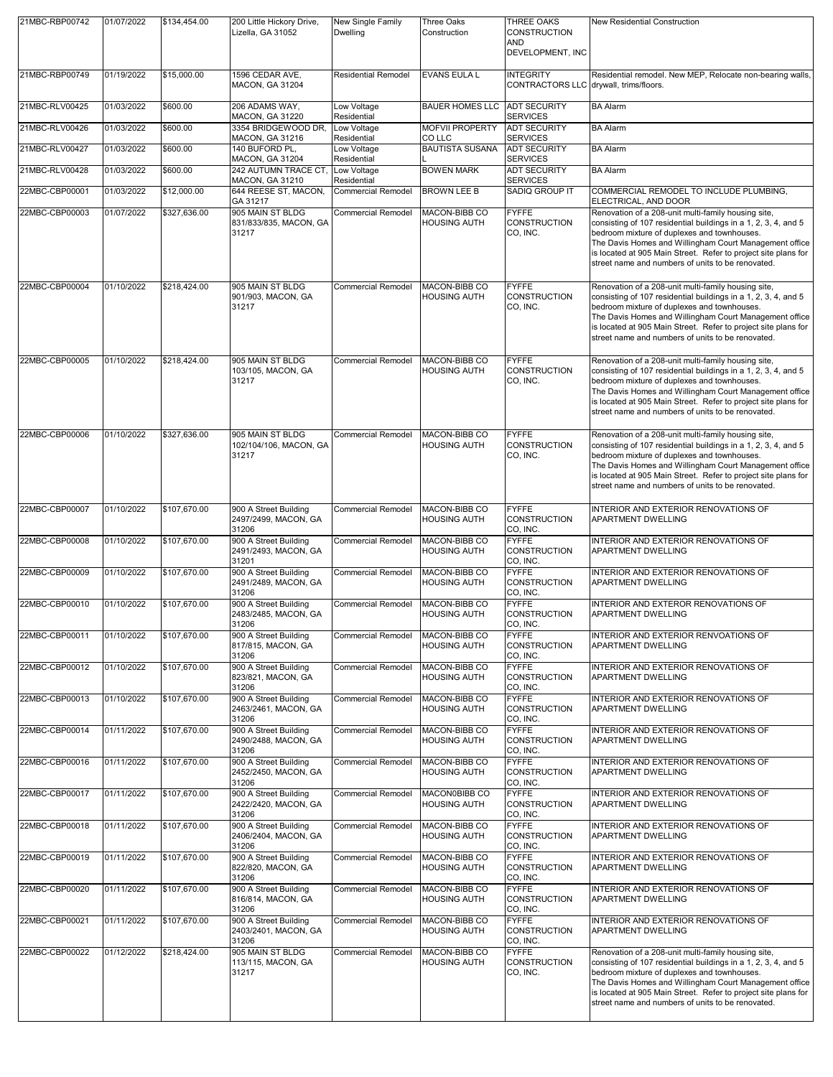| 21MBC-RBP00742 | 01/07/2022 | \$134,454.00 | 200 Little Hickory Drive,<br>Lizella, GA 31052         | New Single Family<br><b>Dwelling</b> | Three Oaks<br>Construction                  | THREE OAKS<br>CONSTRUCTION<br>AND<br>DEVELOPMENT, INC      | <b>New Residential Construction</b>                                                                                                                                                                                                                                                                                                                   |
|----------------|------------|--------------|--------------------------------------------------------|--------------------------------------|---------------------------------------------|------------------------------------------------------------|-------------------------------------------------------------------------------------------------------------------------------------------------------------------------------------------------------------------------------------------------------------------------------------------------------------------------------------------------------|
| 21MBC-RBP00749 | 01/19/2022 | \$15,000.00  | 1596 CEDAR AVE,<br><b>MACON, GA 31204</b>              | <b>Residential Remodel</b>           | <b>EVANS EULA L</b>                         | <b>INTEGRITY</b><br>CONTRACTORS LLC drywall, trims/floors. | Residential remodel. New MEP, Relocate non-bearing walls,                                                                                                                                                                                                                                                                                             |
| 21MBC-RLV00425 | 01/03/2022 | \$600.00     | 206 ADAMS WAY,<br>MACON, GA 31220                      | Low Voltage<br>Residential           | <b>BAUER HOMES LLC</b>                      | <b>ADT SECURITY</b><br><b>SERVICES</b>                     | <b>BA Alarm</b>                                                                                                                                                                                                                                                                                                                                       |
| 21MBC-RLV00426 | 01/03/2022 | \$600.00     | 3354 BRIDGEWOOD DR,<br>MACON, GA 31216                 | Low Voltage<br>Residential           | <b>MOFVII PROPERTY</b><br>CO LLC            | <b>ADT SECURITY</b><br><b>SERVICES</b>                     | <b>BA Alarm</b>                                                                                                                                                                                                                                                                                                                                       |
| 21MBC-RLV00427 | 01/03/2022 | \$600.00     | 140 BUFORD PL,<br><b>MACON, GA 31204</b>               | Low Voltage<br>Residential           | <b>BAUTISTA SUSANA</b>                      | <b>ADT SECURITY</b><br><b>SERVICES</b>                     | <b>BA Alarm</b>                                                                                                                                                                                                                                                                                                                                       |
| 21MBC-RLV00428 | 01/03/2022 | \$600.00     | 242 AUTUMN TRACE CT,<br>MACON, GA 31210                | Low Voltage<br>Residential           | <b>BOWEN MARK</b>                           | <b>ADT SECURITY</b><br><b>SERVICES</b>                     | <b>BA</b> Alarm                                                                                                                                                                                                                                                                                                                                       |
| 22MBC-CBP00001 | 01/03/2022 | \$12,000.00  | 644 REESE ST, MACON,<br>GA 31217                       | <b>Commercial Remodel</b>            | <b>BROWN LEE B</b>                          | SADIQ GROUP IT                                             | COMMERCIAL REMODEL TO INCLUDE PLUMBING,<br>ELECTRICAL, AND DOOR                                                                                                                                                                                                                                                                                       |
| 22MBC-CBP00003 | 01/07/2022 | \$327,636.00 | 905 MAIN ST BLDG<br>831/833/835, MACON, GA<br>31217    | <b>Commercial Remodel</b>            | MACON-BIBB CO<br><b>HOUSING AUTH</b>        | <b>FYFFE</b><br>CONSTRUCTION<br>CO, INC.                   | Renovation of a 208-unit multi-family housing site,<br>consisting of 107 residential buildings in a 1, 2, 3, 4, and 5<br>bedroom mixture of duplexes and townhouses.<br>The Davis Homes and Willingham Court Management office<br>is located at 905 Main Street. Refer to project site plans for<br>street name and numbers of units to be renovated. |
| 22MBC-CBP00004 | 01/10/2022 | \$218,424.00 | 905 MAIN ST BLDG<br>901/903, MACON, GA<br>31217        | <b>Commercial Remodel</b>            | MACON-BIBB CO<br><b>HOUSING AUTH</b>        | <b>FYFFE</b><br>CONSTRUCTION<br>CO, INC.                   | Renovation of a 208-unit multi-family housing site,<br>consisting of 107 residential buildings in a 1, 2, 3, 4, and 5<br>bedroom mixture of duplexes and townhouses.<br>The Davis Homes and Willingham Court Management office<br>is located at 905 Main Street. Refer to project site plans for<br>street name and numbers of units to be renovated. |
| 22MBC-CBP00005 | 01/10/2022 | \$218,424.00 | 905 MAIN ST BLDG<br>103/105, MACON, GA<br>31217        | <b>Commercial Remodel</b>            | <b>MACON-BIBB CO</b><br><b>HOUSING AUTH</b> | <b>FYFFE</b><br>CONSTRUCTION<br>CO, INC.                   | Renovation of a 208-unit multi-family housing site,<br>consisting of 107 residential buildings in a 1, 2, 3, 4, and 5<br>bedroom mixture of duplexes and townhouses.<br>The Davis Homes and Willingham Court Management office<br>is located at 905 Main Street. Refer to project site plans for<br>street name and numbers of units to be renovated. |
| 22MBC-CBP00006 | 01/10/2022 | \$327,636.00 | 905 MAIN ST BLDG<br>102/104/106, MACON, GA<br>31217    | Commercial Remodel                   | MACON-BIBB CO<br><b>HOUSING AUTH</b>        | <b>FYFFE</b><br>CONSTRUCTION<br>CO, INC.                   | Renovation of a 208-unit multi-family housing site,<br>consisting of 107 residential buildings in a 1, 2, 3, 4, and 5<br>bedroom mixture of duplexes and townhouses.<br>The Davis Homes and Willingham Court Management office<br>is located at 905 Main Street. Refer to project site plans for<br>street name and numbers of units to be renovated. |
| 22MBC-CBP00007 | 01/10/2022 | \$107,670.00 | 900 A Street Building<br>2497/2499, MACON, GA<br>31206 | <b>Commercial Remodel</b>            | MACON-BIBB CO<br><b>HOUSING AUTH</b>        | <b>FYFFE</b><br>CONSTRUCTION<br>CO, INC.                   | INTERIOR AND EXTERIOR RENOVATIONS OF<br>APARTMENT DWELLING                                                                                                                                                                                                                                                                                            |
| 22MBC-CBP00008 | 01/10/2022 | \$107,670.00 | 900 A Street Building<br>2491/2493, MACON, GA<br>31201 | Commercial Remodel                   | MACON-BIBB CO<br><b>HOUSING AUTH</b>        | <b>FYFFE</b><br>CONSTRUCTION<br>CO, INC.                   | INTERIOR AND EXTERIOR RENOVATIONS OF<br>APARTMENT DWELLING                                                                                                                                                                                                                                                                                            |
| 22MBC-CBP00009 | 01/10/2022 | \$107,670.00 | 900 A Street Building<br>2491/2489, MACON, GA<br>31206 | <b>Commercial Remodel</b>            | MACON-BIBB CO<br><b>HOUSING AUTH</b>        | <b>FYFFE</b><br><b>CONSTRUCTION</b><br>CO, INC.            | INTERIOR AND EXTERIOR RENOVATIONS OF<br>APARTMENT DWELLING                                                                                                                                                                                                                                                                                            |
| 22MBC-CBP00010 | 01/10/2022 | \$107,670.00 | 900 A Street Building<br>2483/2485, MACON, GA<br>31206 | <b>Commercial Remodel</b>            | MACON-BIBB CO<br><b>HOUSING AUTH</b>        | <b>FYFFE</b><br><b>CONSTRUCTION</b><br>CO, INC.            | INTERIOR AND EXTEROR RENOVATIONS OF<br><b>APARTMENT DWELLING</b>                                                                                                                                                                                                                                                                                      |
| 22MBC-CBP00011 | 01/10/2022 | \$107,670.00 | 900 A Street Building<br>817/815, MACON, GA<br>31206   | Commercial Remodel                   | MACON-BIBB CO<br><b>HOUSING AUTH</b>        | <b>FYFFE</b><br>CONSTRUCTION<br>CO, INC.                   | INTERIOR AND EXTERIOR RENVOATIONS OF<br><b>APARTMENT DWELLING</b>                                                                                                                                                                                                                                                                                     |
| 22MBC-CBP00012 | 01/10/2022 | \$107,670.00 | 900 A Street Building<br>823/821, MACON, GA<br>31206   | <b>Commercial Remodel</b>            | MACON-BIBB CO<br><b>HOUSING AUTH</b>        | <b>FYFFE</b><br>CONSTRUCTION<br>CO, INC.                   | INTERIOR AND EXTERIOR RENOVATIONS OF<br>APARTMENT DWELLING                                                                                                                                                                                                                                                                                            |
| 22MBC-CBP00013 | 01/10/2022 | \$107,670.00 | 900 A Street Building<br>2463/2461, MACON, GA<br>31206 | <b>Commercial Remodel</b>            | MACON-BIBB CO<br><b>HOUSING AUTH</b>        | <b>FYFFE</b><br>CONSTRUCTION<br>CO, INC.                   | INTERIOR AND EXTERIOR RENOVATIONS OF<br>APARTMENT DWELLING                                                                                                                                                                                                                                                                                            |
| 22MBC-CBP00014 | 01/11/2022 | \$107,670.00 | 900 A Street Building<br>2490/2488, MACON, GA<br>31206 | <b>Commercial Remodel</b>            | MACON-BIBB CO<br><b>HOUSING AUTH</b>        | <b>FYFFE</b><br><b>CONSTRUCTION</b><br>CO, INC.            | INTERIOR AND EXTERIOR RENOVATIONS OF<br>APARTMENT DWELLING                                                                                                                                                                                                                                                                                            |
| 22MBC-CBP00016 | 01/11/2022 | \$107,670.00 | 900 A Street Building<br>2452/2450, MACON, GA<br>31206 | <b>Commercial Remodel</b>            | MACON-BIBB CO<br><b>HOUSING AUTH</b>        | <b>FYFFE</b><br>CONSTRUCTION<br>CO, INC.                   | INTERIOR AND EXTERIOR RENOVATIONS OF<br>APARTMENT DWELLING                                                                                                                                                                                                                                                                                            |
| 22MBC-CBP00017 | 01/11/2022 | \$107,670.00 | 900 A Street Building<br>2422/2420, MACON, GA<br>31206 | Commercial Remodel                   | MACON0BIBB CO<br><b>HOUSING AUTH</b>        | <b>FYFFE</b><br>CONSTRUCTION<br>CO, INC.                   | INTERIOR AND EXTERIOR RENOVATIONS OF<br>APARTMENT DWELLING                                                                                                                                                                                                                                                                                            |
| 22MBC-CBP00018 | 01/11/2022 | \$107,670.00 | 900 A Street Building<br>2406/2404, MACON, GA<br>31206 | <b>Commercial Remodel</b>            | MACON-BIBB CO<br><b>HOUSING AUTH</b>        | <b>FYFFE</b><br>CONSTRUCTION<br>CO, INC.                   | INTERIOR AND EXTERIOR RENOVATIONS OF<br>APARTMENT DWELLING                                                                                                                                                                                                                                                                                            |
| 22MBC-CBP00019 | 01/11/2022 | \$107,670.00 | 900 A Street Building<br>822/820, MACON, GA<br>31206   | Commercial Remodel                   | MACON-BIBB CO<br><b>HOUSING AUTH</b>        | <b>FYFFE</b><br><b>CONSTRUCTION</b><br>CO, INC.            | INTERIOR AND EXTERIOR RENOVATIONS OF<br>APARTMENT DWELLING                                                                                                                                                                                                                                                                                            |
| 22MBC-CBP00020 | 01/11/2022 | \$107,670.00 | 900 A Street Building<br>816/814, MACON, GA<br>31206   | <b>Commercial Remodel</b>            | MACON-BIBB CO<br><b>HOUSING AUTH</b>        | <b>FYFFE</b><br><b>CONSTRUCTION</b><br>CO, INC.            | INTERIOR AND EXTERIOR RENOVATIONS OF<br>APARTMENT DWELLING                                                                                                                                                                                                                                                                                            |
| 22MBC-CBP00021 | 01/11/2022 | \$107,670.00 | 900 A Street Building<br>2403/2401, MACON, GA<br>31206 | <b>Commercial Remodel</b>            | MACON-BIBB CO<br><b>HOUSING AUTH</b>        | <b>FYFFE</b><br>CONSTRUCTION<br>CO, INC.                   | INTERIOR AND EXTERIOR RENOVATIONS OF<br>APARTMENT DWELLING                                                                                                                                                                                                                                                                                            |
| 22MBC-CBP00022 | 01/12/2022 | \$218,424.00 | 905 MAIN ST BLDG<br>113/115, MACON, GA<br>31217        | <b>Commercial Remodel</b>            | MACON-BIBB CO<br><b>HOUSING AUTH</b>        | <b>FYFFE</b><br>CONSTRUCTION<br>CO, INC.                   | Renovation of a 208-unit multi-family housing site,<br>consisting of 107 residential buildings in a 1, 2, 3, 4, and 5<br>bedroom mixture of duplexes and townhouses.<br>The Davis Homes and Willingham Court Management office<br>is located at 905 Main Street. Refer to project site plans for<br>street name and numbers of units to be renovated. |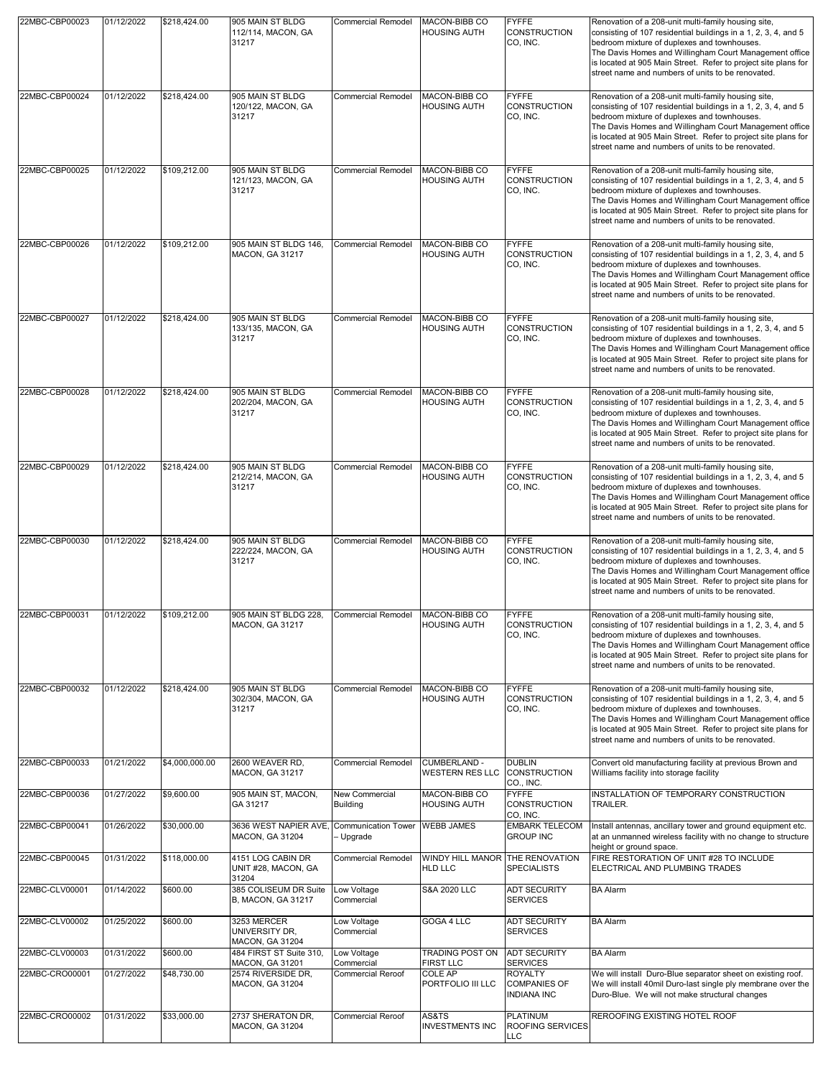| 22MBC-CBP00023 | 01/12/2022 | \$218,424.00   | 905 MAIN ST BLDG<br>112/114, MACON, GA<br>31217              | Commercial Remodel                       | MACON-BIBB CO<br><b>HOUSING AUTH</b>              | <b>FYFFE</b><br><b>CONSTRUCTION</b><br>CO, INC.             | Renovation of a 208-unit multi-family housing site,<br>consisting of 107 residential buildings in a 1, 2, 3, 4, and 5<br>bedroom mixture of duplexes and townhouses.<br>The Davis Homes and Willingham Court Management office<br>is located at 905 Main Street. Refer to project site plans for<br>street name and numbers of units to be renovated. |
|----------------|------------|----------------|--------------------------------------------------------------|------------------------------------------|---------------------------------------------------|-------------------------------------------------------------|-------------------------------------------------------------------------------------------------------------------------------------------------------------------------------------------------------------------------------------------------------------------------------------------------------------------------------------------------------|
| 22MBC-CBP00024 | 01/12/2022 | \$218,424.00   | 905 MAIN ST BLDG<br>120/122, MACON, GA<br>31217              | <b>Commercial Remodel</b>                | MACON-BIBB CO<br>HOUSING AUTH                     | <b>FYFFE</b><br><b>CONSTRUCTION</b><br>CO, INC.             | Renovation of a 208-unit multi-family housing site.<br>consisting of 107 residential buildings in a 1, 2, 3, 4, and 5<br>bedroom mixture of duplexes and townhouses.<br>The Davis Homes and Willingham Court Management office<br>is located at 905 Main Street. Refer to project site plans for<br>street name and numbers of units to be renovated. |
| 22MBC-CBP00025 | 01/12/2022 | \$109,212.00   | 905 MAIN ST BLDG<br>121/123, MACON, GA<br>31217              | <b>Commercial Remodel</b>                | MACON-BIBB CO<br><b>HOUSING AUTH</b>              | <b>FYFFE</b><br>CONSTRUCTION<br>CO, INC.                    | Renovation of a 208-unit multi-family housing site,<br>consisting of 107 residential buildings in a 1, 2, 3, 4, and 5<br>bedroom mixture of duplexes and townhouses.<br>The Davis Homes and Willingham Court Management office<br>is located at 905 Main Street. Refer to project site plans for<br>street name and numbers of units to be renovated. |
| 22MBC-CBP00026 | 01/12/2022 | \$109,212.00   | 905 MAIN ST BLDG 146,<br>MACON, GA 31217                     | <b>Commercial Remodel</b>                | MACON-BIBB CO<br>HOUSING AUTH                     | <b>FYFFE</b><br><b>CONSTRUCTION</b><br>CO, INC.             | Renovation of a 208-unit multi-family housing site,<br>consisting of 107 residential buildings in a 1, 2, 3, 4, and 5<br>bedroom mixture of duplexes and townhouses.<br>The Davis Homes and Willingham Court Management office<br>is located at 905 Main Street. Refer to project site plans for<br>street name and numbers of units to be renovated. |
| 22MBC-CBP00027 | 01/12/2022 | \$218,424.00   | 905 MAIN ST BLDG<br>133/135, MACON, GA<br>31217              | <b>Commercial Remodel</b>                | MACON-BIBB CO<br><b>HOUSING AUTH</b>              | <b>FYFFE</b><br><b>CONSTRUCTION</b><br>CO, INC.             | Renovation of a 208-unit multi-family housing site,<br>consisting of 107 residential buildings in a 1, 2, 3, 4, and 5<br>bedroom mixture of duplexes and townhouses.<br>The Davis Homes and Willingham Court Management office<br>is located at 905 Main Street. Refer to project site plans for<br>street name and numbers of units to be renovated. |
| 22MBC-CBP00028 | 01/12/2022 | \$218,424.00   | 905 MAIN ST BLDG<br>202/204, MACON, GA<br>31217              | <b>Commercial Remodel</b>                | MACON-BIBB CO<br><b>HOUSING AUTH</b>              | <b>FYFFE</b><br><b>CONSTRUCTION</b><br>CO, INC.             | Renovation of a 208-unit multi-family housing site,<br>consisting of 107 residential buildings in a 1, 2, 3, 4, and 5<br>bedroom mixture of duplexes and townhouses.<br>The Davis Homes and Willingham Court Management office<br>is located at 905 Main Street. Refer to project site plans for<br>street name and numbers of units to be renovated. |
| 22MBC-CBP00029 | 01/12/2022 | \$218,424.00   | 905 MAIN ST BLDG<br>212/214, MACON, GA<br>31217              | <b>Commercial Remodel</b>                | MACON-BIBB CO<br><b>HOUSING AUTH</b>              | <b>FYFFE</b><br><b>CONSTRUCTION</b><br>CO, INC.             | Renovation of a 208-unit multi-family housing site,<br>consisting of 107 residential buildings in a 1, 2, 3, 4, and 5<br>bedroom mixture of duplexes and townhouses.<br>The Davis Homes and Willingham Court Management office<br>is located at 905 Main Street. Refer to project site plans for<br>street name and numbers of units to be renovated. |
| 22MBC-CBP00030 | 01/12/2022 | \$218,424.00   | 905 MAIN ST BLDG<br>222/224, MACON, GA<br>31217              | <b>Commercial Remodel</b>                | MACON-BIBB CO<br><b>HOUSING AUTH</b>              | <b>FYFFE</b><br><b>CONSTRUCTION</b><br>CO, INC.             | Renovation of a 208-unit multi-family housing site,<br>consisting of 107 residential buildings in a 1, 2, 3, 4, and 5<br>bedroom mixture of duplexes and townhouses.<br>The Davis Homes and Willingham Court Management office<br>is located at 905 Main Street. Refer to project site plans for<br>street name and numbers of units to be renovated. |
| 22MBC-CBP00031 | 01/12/2022 | \$109,212.00   | 905 MAIN ST BLDG 228,<br>MACON, GA 31217                     | <b>Commercial Remodel</b>                | MACON-BIBB CO<br><b>HOUSING AUTH</b>              | <b>FYFFE</b><br><b>CONSTRUCTION</b><br>CO, INC.             | Renovation of a 208-unit multi-family housing site,<br>consisting of 107 residential buildings in a 1, 2, 3, 4, and 5<br>bedroom mixture of duplexes and townhouses.<br>The Davis Homes and Willingham Court Management office<br>is located at 905 Main Street. Refer to project site plans for<br>street name and numbers of units to be renovated. |
| 22MBC-CBP00032 | 01/12/2022 | \$218,424.00   | 905 MAIN ST BLDG<br>302/304, MACON, GA<br>31217              | <b>Commercial Remodel</b>                | MACON-BIBB CO<br><b>HOUSING AUTH</b>              | <b>FYFFE</b><br>CONSTRUCTION<br>CO, INC.                    | Renovation of a 208-unit multi-family housing site,<br>consisting of 107 residential buildings in a 1, 2, 3, 4, and 5<br>bedroom mixture of duplexes and townhouses.<br>The Davis Homes and Willingham Court Management office<br>is located at 905 Main Street. Refer to project site plans for<br>street name and numbers of units to be renovated. |
| 22MBC-CBP00033 | 01/21/2022 | \$4,000,000.00 | 2600 WEAVER RD,<br>MACON, GA 31217                           | <b>Commercial Remodel</b>                | CUMBERLAND -<br>WESTERN RES LLC CONSTRUCTION      | <b>DUBLIN</b><br>CO., INC.                                  | Convert old manufacturing facility at previous Brown and<br>Williams facility into storage facility                                                                                                                                                                                                                                                   |
| 22MBC-CBP00036 | 01/27/2022 | \$9,600.00     | 905 MAIN ST, MACON,<br>GA 31217                              | <b>New Commercial</b><br><b>Building</b> | MACON-BIBB CO<br><b>HOUSING AUTH</b>              | <b>FYFFE</b><br><b>CONSTRUCTION</b><br>CO, INC.             | INSTALLATION OF TEMPORARY CONSTRUCTION<br>TRAILER.                                                                                                                                                                                                                                                                                                    |
| 22MBC-CBP00041 | 01/26/2022 | \$30,000.00    | 3636 WEST NAPIER AVE, Communication Tower<br>MACON, GA 31204 | - Upgrade                                | <b>WEBB JAMES</b>                                 | <b>EMBARK TELECOM</b><br><b>GROUP INC</b>                   | Install antennas, ancillary tower and ground equipment etc.<br>at an unmanned wireless facility with no change to structure                                                                                                                                                                                                                           |
| 22MBC-CBP00045 | 01/31/2022 | \$118,000.00   | 4151 LOG CABIN DR<br>UNIT #28, MACON, GA<br>31204            | <b>Commercial Remodel</b>                | WINDY HILL MANOR THE RENOVATION<br><b>HLD LLC</b> | <b>SPECIALISTS</b>                                          | height or ground space.<br>FIRE RESTORATION OF UNIT #28 TO INCLUDE<br>ELECTRICAL AND PLUMBING TRADES                                                                                                                                                                                                                                                  |
| 22MBC-CLV00001 | 01/14/2022 | \$600.00       | 385 COLISEUM DR Suite<br>B, MACON, GA 31217                  | Low Voltage<br>Commercial                | S&A 2020 LLC                                      | <b>ADT SECURITY</b><br><b>SERVICES</b>                      | <b>BA Alarm</b>                                                                                                                                                                                                                                                                                                                                       |
| 22MBC-CLV00002 | 01/25/2022 | \$600.00       | 3253 MERCER<br>UNIVERSITY DR,<br>MACON, GA 31204             | Low Voltage<br>Commercial                | GOGA 4 LLC                                        | <b>ADT SECURITY</b><br><b>SERVICES</b>                      | <b>BA Alarm</b>                                                                                                                                                                                                                                                                                                                                       |
| 22MBC-CLV00003 | 01/31/2022 | \$600.00       | 484 FIRST ST Suite 310,<br>MACON, GA 31201                   | Low Voltage<br>Commercial                | <b>TRADING POST ON</b><br><b>FIRST LLC</b>        | <b>ADT SECURITY</b><br><b>SERVICES</b>                      | <b>BA Alarm</b>                                                                                                                                                                                                                                                                                                                                       |
| 22MBC-CRO00001 | 01/27/2022 | \$48,730.00    | 2574 RIVERSIDE DR.<br>MACON, GA 31204                        | <b>Commercial Reroof</b>                 | COLE AP<br>PORTFOLIO III LLC                      | <b>ROYALTY</b><br><b>COMPANIES OF</b><br><b>INDIANA INC</b> | We will install Duro-Blue separator sheet on existing roof.<br>We will install 40mil Duro-last single ply membrane over the<br>Duro-Blue. We will not make structural changes                                                                                                                                                                         |
| 22MBC-CRO00002 | 01/31/2022 | \$33,000.00    | 2737 SHERATON DR,<br>MACON, GA 31204                         | <b>Commercial Reroof</b>                 | AS&TS<br><b>INVESTMENTS INC</b>                   | <b>PLATINUM</b><br><b>ROOFING SERVICES</b><br><b>LLC</b>    | REROOFING EXISTING HOTEL ROOF                                                                                                                                                                                                                                                                                                                         |
|                |            |                |                                                              |                                          |                                                   |                                                             |                                                                                                                                                                                                                                                                                                                                                       |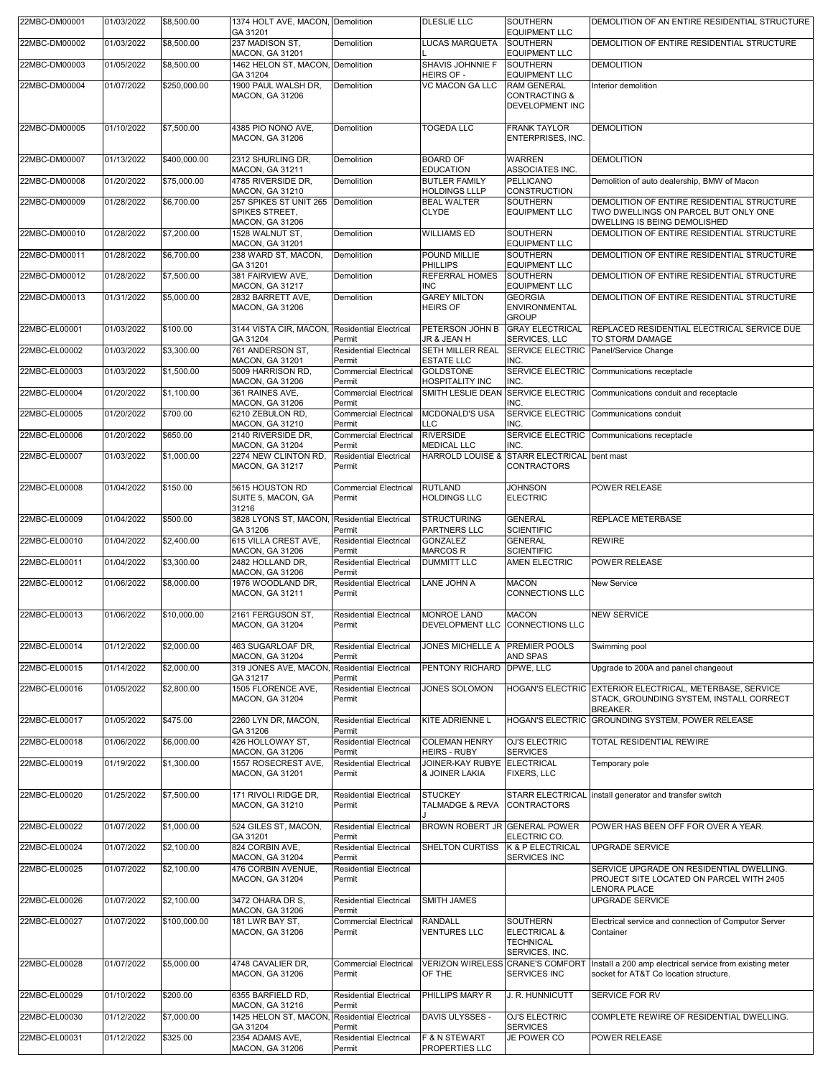| 22MBC-DM00001 | 01/03/2022 | \$8,500.00   | 1374 HOLT AVE, MACON, Demolition<br>GA 31201                           |                                         | DLESLIE LLC                                           | <b>SOUTHERN</b><br><b>EQUIPMENT LLC</b>                                                   | DEMOLITION OF AN ENTIRE RESIDENTIAL STRUCTURE                                                                           |
|---------------|------------|--------------|------------------------------------------------------------------------|-----------------------------------------|-------------------------------------------------------|-------------------------------------------------------------------------------------------|-------------------------------------------------------------------------------------------------------------------------|
| 22MBC-DM00002 | 01/03/2022 | \$8,500.00   | 237 MADISON ST,<br><b>MACON, GA 31201</b>                              | Demolition                              | LUCAS MARQUETA                                        | <b>SOUTHERN</b><br><b>EQUIPMENT LLC</b>                                                   | DEMOLITION OF ENTIRE RESIDENTIAL STRUCTURE                                                                              |
| 22MBC-DM00003 | 01/05/2022 | \$8,500.00   | 1462 HELON ST, MACON, Demolition                                       |                                         | SHAVIS JOHNNIE F                                      | <b>SOUTHERN</b>                                                                           | <b>DEMOLITION</b>                                                                                                       |
| 22MBC-DM00004 | 01/07/2022 | \$250,000.00 | GA 31204<br>1900 PAUL WALSH DR,<br>MACON, GA 31206                     | Demolition                              | HEIRS OF -<br><b>VC MACON GA LLC</b>                  | <b>EQUIPMENT LLC</b><br><b>RAM GENERAL</b><br><b>CONTRACTING &amp;</b><br>DEVELOPMENT INC | Interior demolition                                                                                                     |
| 22MBC-DM00005 | 01/10/2022 | \$7,500.00   | 4385 PIO NONO AVE,<br>MACON, GA 31206                                  | Demolition                              | <b>TOGEDA LLC</b>                                     | <b>FRANK TAYLOR</b><br>ENTERPRISES, INC.                                                  | <b>DEMOLITION</b>                                                                                                       |
| 22MBC-DM00007 | 01/13/2022 | \$400,000.00 | 2312 SHURLING DR.<br>MACON, GA 31211                                   | Demolition                              | <b>BOARD OF</b><br><b>EDUCATION</b>                   | <b>WARREN</b><br>ASSOCIATES INC.                                                          | <b>DEMOLITION</b>                                                                                                       |
| 22MBC-DM00008 | 01/20/2022 | \$75,000.00  | 4785 RIVERSIDE DR.<br>MACON, GA 31210                                  | Demolition                              | <b>BUTLER FAMILY</b><br><b>HOLDINGS LLLP</b>          | <b>PELLICANO</b><br><b>CONSTRUCTION</b>                                                   | Demolition of auto dealership, BMW of Macon                                                                             |
| 22MBC-DM00009 | 01/28/2022 | \$6,700.00   | 257 SPIKES ST UNIT 265 Demolition<br>SPIKES STREET,<br>MACON, GA 31206 |                                         | <b>BEAL WALTER</b><br>CLYDE                           | <b>SOUTHERN</b><br><b>EQUIPMENT LLC</b>                                                   | DEMOLITION OF ENTIRE RESIDENTIAL STRUCTURE<br>TWO DWELLINGS ON PARCEL BUT ONLY ONE<br>DWELLING IS BEING DEMOLISHED      |
| 22MBC-DM00010 | 01/28/2022 | \$7,200.00   | 1528 WALNUT ST,<br>MACON, GA 31201                                     | Demolition                              | WILLIAMS ED                                           | <b>SOUTHERN</b><br><b>EQUIPMENT LLC</b>                                                   | DEMOLITION OF ENTIRE RESIDENTIAL STRUCTURE                                                                              |
| 22MBC-DM00011 | 01/28/2022 | \$6,700.00   | 238 WARD ST, MACON,<br>GA 31201                                        | Demolition                              | POUND MILLIE<br>PHILLIPS                              | <b>SOUTHERN</b><br><b>EQUIPMENT LLC</b>                                                   | DEMOLITION OF ENTIRE RESIDENTIAL STRUCTURE                                                                              |
| 22MBC-DM00012 | 01/28/2022 | \$7,500.00   | 381 FAIRVIEW AVE,<br><b>MACON, GA 31217</b>                            | Demolition                              | REFERRAL HOMES<br>INC                                 | <b>SOUTHERN</b><br><b>EQUIPMENT LLC</b>                                                   | DEMOLITION OF ENTIRE RESIDENTIAL STRUCTURE                                                                              |
| 22MBC-DM00013 | 01/31/2022 | \$5,000.00   | 2832 BARRETT AVE,<br>MACON, GA 31206                                   | Demolition                              | <b>GAREY MILTON</b><br><b>HEIRS OF</b>                | <b>GEORGIA</b><br><b>ENVIRONMENTAL</b><br><b>GROUP</b>                                    | DEMOLITION OF ENTIRE RESIDENTIAL STRUCTURE                                                                              |
| 22MBC-EL00001 | 01/03/2022 | \$100.00     | 3144 VISTA CIR, MACON, Residential Electrical<br>GA 31204              | Permit                                  | PETERSON JOHN B<br>JR & JEAN H                        | <b>GRAY ELECTRICAL</b><br>SERVICES, LLC                                                   | REPLACED RESIDENTIAL ELECTRICAL SERVICE DUE<br>TO STORM DAMAGE                                                          |
| 22MBC-EL00002 | 01/03/2022 | \$3,300.00   | 761 ANDERSON ST,<br>MACON, GA 31201                                    | <b>Residential Electrical</b><br>Permit | SETH MILLER REAL<br><b>ESTATE LLC</b>                 | INC.                                                                                      | SERVICE ELECTRIC Panel/Service Change                                                                                   |
| 22MBC-EL00003 | 01/03/2022 | \$1,500.00   | 5009 HARRISON RD,                                                      | <b>Commercial Electrical</b>            | <b>GOLDSTONE</b>                                      |                                                                                           | SERVICE ELECTRIC Communications receptacle                                                                              |
| 22MBC-EL00004 | 01/20/2022 | \$1,100.00   | MACON, GA 31206<br>361 RAINES AVE,                                     | Permit<br><b>Commercial Electrical</b>  | HOSPITALITY INC                                       | INC.                                                                                      | SMITH LESLIE DEAN SERVICE ELECTRIC Communications conduit and receptacle                                                |
| 22MBC-EL00005 | 01/20/2022 | \$700.00     | MACON, GA 31206<br>6210 ZEBULON RD,                                    | Permit<br><b>Commercial Electrical</b>  | <b>MCDONALD'S USA</b>                                 | INC.<br><b>SERVICE ELECTRIC</b>                                                           | Communications conduit                                                                                                  |
| 22MBC-EL00006 | 01/20/2022 | \$650.00     | MACON, GA 31210<br>2140 RIVERSIDE DR,                                  | Permit<br><b>Commercial Electrical</b>  | LLC<br><b>RIVERSIDE</b>                               | INC.                                                                                      | SERVICE ELECTRIC Communications receptacle                                                                              |
| 22MBC-EL00007 | 01/03/2022 | \$1,000.00   | MACON, GA 31204<br>2274 NEW CLINTON RD,                                | Permit<br><b>Residential Electrical</b> | <b>MEDICAL LLC</b>                                    | INC.<br>HARROLD LOUISE & STARR ELECTRICAL bent mast                                       |                                                                                                                         |
|               |            |              | <b>MACON, GA 31217</b>                                                 | Permit                                  |                                                       | <b>CONTRACTORS</b>                                                                        |                                                                                                                         |
| 22MBC-EL00008 | 01/04/2022 | \$150.00     | 5615 HOUSTON RD<br>SUITE 5, MACON, GA<br>31216                         | <b>Commercial Electrical</b><br>Permit  | <b>RUTLAND</b><br><b>HOLDINGS LLC</b>                 | <b>JOHNSON</b><br><b>ELECTRIC</b>                                                         | POWER RELEASE                                                                                                           |
| 22MBC-EL00009 | 01/04/2022 | \$500.00     | 3828 LYONS ST, MACON, Residential Electrical<br>GA 31206               | Permit                                  | <b>STRUCTURING</b><br>PARTNERS LLC                    | <b>GENERAL</b><br><b>SCIENTIFIC</b>                                                       | <b>REPLACE METERBASE</b>                                                                                                |
| 22MBC-EL00010 | 01/04/2022 | \$2,400.00   | 615 VILLA CREST AVE,<br>MACON, GA 31206                                | <b>Residential Electrical</b><br>Permit | GONZALEZ<br><b>MARCOS R</b>                           | <b>GENERAL</b><br><b>SCIENTIFIC</b>                                                       | <b>REWIRE</b>                                                                                                           |
| 22MBC-EL00011 | 01/04/2022 | \$3,300.00   | 2482 HOLLAND DR,<br>MACON, GA 31206                                    | <b>Residential Electrical</b><br>Permit | <b>DUMMITT LLC</b>                                    | <b>AMEN ELECTRIC</b>                                                                      | <b>POWER RELEASE</b>                                                                                                    |
| 22MBC-EL00012 | 01/06/2022 | \$8,000.00   | 1976 WOODLAND DR,<br><b>MACON, GA 31211</b>                            | <b>Residential Electrical</b><br>Permit | LANE JOHN A                                           | <b>MACON</b><br><b>CONNECTIONS LLC</b>                                                    | New Service                                                                                                             |
| 22MBC-EL00013 | 01/06/2022 | \$10,000.00  | 2161 FERGUSON ST.<br>MACON, GA 31204                                   | <b>Residential Electrical</b><br>Permit | <b>MONROE LAND</b><br>DEVELOPMENT LLC CONNECTIONS LLC | <b>MACON</b>                                                                              | <b>NEW SERVICE</b>                                                                                                      |
| 22MBC-EL00014 | 01/12/2022 | \$2,000.00   | 463 SUGARLOAF DR,<br>MACON, GA 31204                                   | <b>Residential Electrical</b><br>Permit | JONES MICHELLE A PREMIER POOLS                        | AND SPAS                                                                                  | Swimming pool                                                                                                           |
| 22MBC-EL00015 | 01/14/2022 | \$2,000.00   | 319 JONES AVE, MACON<br>GA 31217                                       | <b>Residential Electrical</b><br>Permit | PENTONY RICHARD DPWE, LLC                             |                                                                                           | Upgrade to 200A and panel changeout                                                                                     |
| 22MBC-EL00016 | 01/05/2022 | \$2,800.00   | 1505 FLORENCE AVE,<br><b>MACON, GA 31204</b>                           | <b>Residential Electrical</b><br>Permit | JONES SOLOMON                                         |                                                                                           | HOGAN'S ELECTRIC EXTERIOR ELECTRICAL, METERBASE, SERVICE<br>STACK, GROUNDING SYSTEM, INSTALL CORRECT<br><b>BREAKER.</b> |
| 22MBC-EL00017 | 01/05/2022 | \$475.00     | 2260 LYN DR, MACON,<br>GA 31206                                        | <b>Residential Electrical</b><br>Permit | KITE ADRIENNE L                                       | <b>HOGAN'S ELECTRIC</b>                                                                   | GROUNDING SYSTEM, POWER RELEASE                                                                                         |
| 22MBC-EL00018 | 01/06/2022 | \$6,000.00   | 426 HOLLOWAY ST.<br>MACON, GA 31206                                    | <b>Residential Electrical</b><br>Permit | <b>COLEMAN HENRY</b><br><b>HEIRS - RUBY</b>           | OJ'S ELECTRIC<br><b>SERVICES</b>                                                          | TOTAL RESIDENTIAL REWIRE                                                                                                |
| 22MBC-EL00019 | 01/19/2022 | \$1,300.00   | 1557 ROSECREST AVE,<br><b>MACON, GA 31201</b>                          | <b>Residential Electrical</b><br>Permit | JOINER-KAY RUBYE ELECTRICAL<br>& JOINER LAKIA         | FIXERS, LLC                                                                               | Temporary pole                                                                                                          |
| 22MBC-EL00020 | 01/25/2022 | \$7,500.00   | 171 RIVOLI RIDGE DR,<br>MACON, GA 31210                                | <b>Residential Electrical</b><br>Permit | <b>STUCKEY</b><br>TALMADGE & REVA                     | <b>CONTRACTORS</b>                                                                        | STARR ELECTRICAL install generator and transfer switch                                                                  |
| 22MBC-EL00022 | 01/07/2022 | \$1,000.00   | 524 GILES ST, MACON,<br>GA 31201                                       | <b>Residential Electrical</b><br>Permit | BROWN ROBERT JR GENERAL POWER                         | ELECTRIC CO.                                                                              | POWER HAS BEEN OFF FOR OVER A YEAR.                                                                                     |
| 22MBC-EL00024 | 01/07/2022 | \$2,100.00   | 824 CORBIN AVE,<br>MACON, GA 31204                                     | <b>Residential Electrical</b><br>Permit | SHELTON CURTISS                                       | K & P ELECTRICAL<br>SERVICES INC                                                          | <b>UPGRADE SERVICE</b>                                                                                                  |
| 22MBC-EL00025 | 01/07/2022 | \$2,100.00   | 476 CORBIN AVENUE,<br><b>MACON, GA 31204</b>                           | <b>Residential Electrical</b><br>Permit |                                                       |                                                                                           | SERVICE UPGRADE ON RESIDENTIAL DWELLING.<br>PROJECT SITE LOCATED ON PARCEL WITH 2405<br>LENORA PLACE                    |
| 22MBC-EL00026 | 01/07/2022 | \$2,100.00   | 3472 OHARA DR S,<br>MACON, GA 31206                                    | <b>Residential Electrical</b><br>Permit | <b>SMITH JAMES</b>                                    |                                                                                           | <b>UPGRADE SERVICE</b>                                                                                                  |
| 22MBC-EL00027 | 01/07/2022 | \$100,000.00 | 181 LWR BAY ST,<br><b>MACON, GA 31206</b>                              | <b>Commercial Electrical</b><br>Permit  | RANDALL<br><b>VENTURES LLC</b>                        | <b>SOUTHERN</b><br><b>ELECTRICAL &amp;</b><br>TECHNICAL<br>SERVICES, INC.                 | Electrical service and connection of Computor Server<br>Container                                                       |
| 22MBC-EL00028 | 01/07/2022 | \$5,000.00   | 4748 CAVALIER DR.<br>MACON, GA 31206                                   | <b>Commercial Electrical</b><br>Permit  | <b>VERIZON WIRELESS</b><br>OF THE                     | <b>CRANE'S COMFORT</b><br><b>SERVICES INC</b>                                             | Install a 200 amp electrical service from existing meter<br>socket for AT&T Co location structure.                      |
| 22MBC-EL00029 | 01/10/2022 | \$200.00     | 6355 BARFIELD RD,<br>MACON, GA 31216                                   | <b>Residential Electrical</b><br>Permit | PHILLIPS MARY R                                       | J. R. HUNNICUTT                                                                           | SERVICE FOR RV                                                                                                          |
| 22MBC-EL00030 | 01/12/2022 | \$7,000.00   | 1425 HELON ST, MACON,<br>GA 31204                                      | <b>Residential Electrical</b><br>Permit | DAVIS ULYSSES -                                       | <b>OJ'S ELECTRIC</b><br><b>SERVICES</b>                                                   | COMPLETE REWIRE OF RESIDENTIAL DWELLING.                                                                                |
| 22MBC-EL00031 | 01/12/2022 | \$325.00     | 2354 ADAMS AVE,<br>MACON, GA 31206                                     | <b>Residential Electrical</b><br>Permit | <b>F &amp; N STEWART</b><br>PROPERTIES LLC            | JE POWER CO                                                                               | POWER RELEASE                                                                                                           |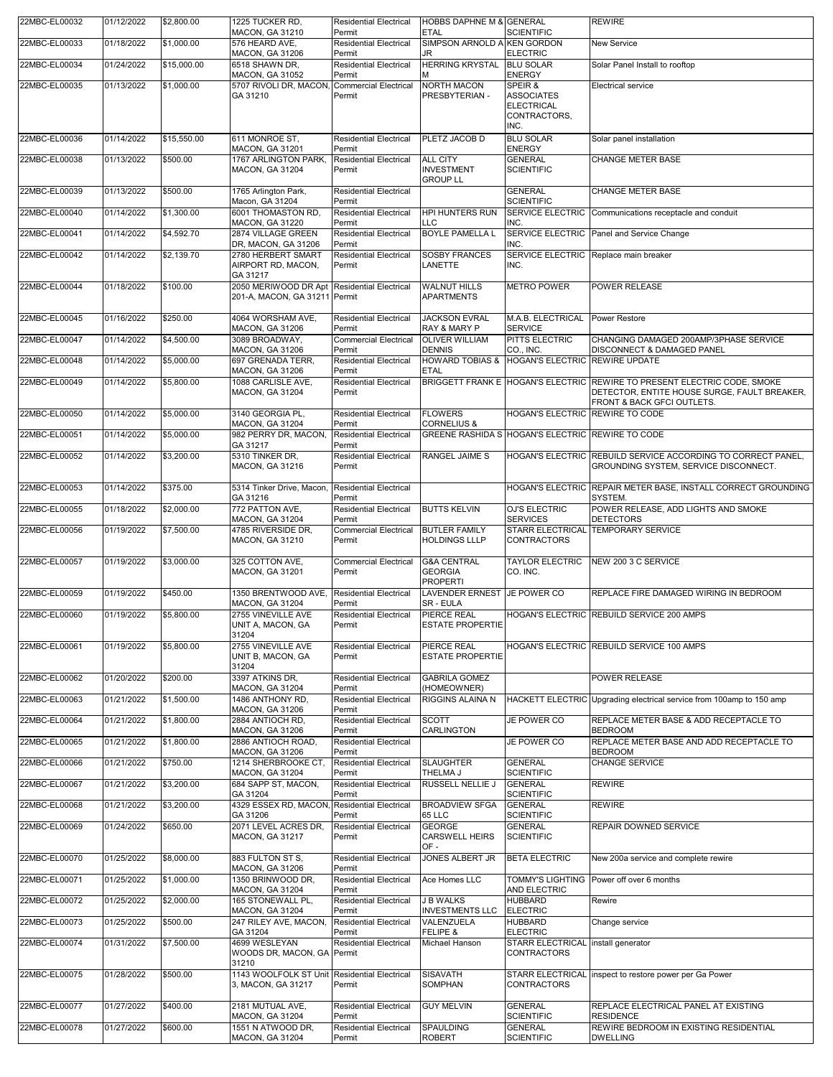| 22MBC-EL00032 | 01/12/2022 | \$2,800.00  | 1225 TUCKER RD,                                                    | <b>Residential Electrical</b>           | HOBBS DAPHNE M & GENERAL                       |                                                  | <b>REWIRE</b>                                                              |
|---------------|------------|-------------|--------------------------------------------------------------------|-----------------------------------------|------------------------------------------------|--------------------------------------------------|----------------------------------------------------------------------------|
|               |            |             | MACON, GA 31210                                                    | Permit                                  | <b>ETAL</b>                                    | <b>SCIENTIFIC</b>                                |                                                                            |
| 22MBC-EL00033 | 01/18/2022 | \$1,000.00  | 576 HEARD AVE,<br>MACON, GA 31206                                  | <b>Residential Electrical</b><br>Permit | SIMPSON ARNOLD A KEN GORDON<br>JR              | <b>ELECTRIC</b>                                  | New Service                                                                |
| 22MBC-EL00034 | 01/24/2022 | \$15,000.00 | 6518 SHAWN DR,                                                     | <b>Residential Electrical</b>           | <b>HERRING KRYSTAL</b>                         | <b>BLU SOLAR</b>                                 | Solar Panel Install to rooftop                                             |
|               |            |             | MACON, GA 31052                                                    | Permit                                  | м                                              | <b>ENERGY</b>                                    |                                                                            |
| 22MBC-EL00035 | 01/13/2022 | \$1,000.00  | 5707 RIVOLI DR, MACON,<br>GA 31210                                 | <b>Commercial Electrical</b><br>Permit  | NORTH MACON<br>PRESBYTERIAN -                  | SPEIR &<br><b>ASSOCIATES</b>                     | <b>Electrical service</b>                                                  |
|               |            |             |                                                                    |                                         |                                                | <b>ELECTRICAL</b>                                |                                                                            |
|               |            |             |                                                                    |                                         |                                                | CONTRACTORS,<br>INC.                             |                                                                            |
| 22MBC-EL00036 | 01/14/2022 | \$15,550.00 | 611 MONROE ST,                                                     | <b>Residential Electrical</b>           | PLETZ JACOB D                                  | <b>BLU SOLAR</b>                                 | Solar panel installation                                                   |
|               |            |             | MACON, GA 31201                                                    | Permit                                  |                                                | <b>ENERGY</b>                                    |                                                                            |
| 22MBC-EL00038 | 01/13/2022 | \$500.00    | 1767 ARLINGTON PARK,<br>MACON, GA 31204                            | <b>Residential Electrical</b><br>Permit | <b>ALL CITY</b><br><b>INVESTMENT</b>           | <b>GENERAL</b><br><b>SCIENTIFIC</b>              | <b>CHANGE METER BASE</b>                                                   |
|               |            |             |                                                                    |                                         | <b>GROUP LL</b>                                |                                                  |                                                                            |
| 22MBC-EL00039 | 01/13/2022 | \$500.00    | 1765 Arlington Park,                                               | <b>Residential Electrical</b>           |                                                | <b>GENERAL</b>                                   | <b>CHANGE METER BASE</b>                                                   |
| 22MBC-EL00040 | 01/14/2022 | \$1,300.00  | Macon, GA 31204<br>6001 THOMASTON RD,                              | Permit<br><b>Residential Electrical</b> | <b>HPI HUNTERS RUN</b>                         | <b>SCIENTIFIC</b>                                | SERVICE ELECTRIC Communications receptacle and conduit                     |
|               |            |             | MACON, GA 31220                                                    | Permit                                  | <b>LLC</b>                                     | INC.                                             |                                                                            |
| 22MBC-EL00041 | 01/14/2022 | \$4,592.70  | 2874 VILLAGE GREEN                                                 | <b>Residential Electrical</b>           | <b>BOYLE PAMELLA L</b>                         |                                                  | SERVICE ELECTRIC Panel and Service Change                                  |
| 22MBC-EL00042 | 01/14/2022 | \$2,139.70  | DR, MACON, GA 31206<br>2780 HERBERT SMART                          | Permit<br><b>Residential Electrical</b> | <b>SOSBY FRANCES</b>                           | INC.                                             | SERVICE ELECTRIC Replace main breaker                                      |
|               |            |             | AIRPORT RD, MACON,                                                 | Permit                                  | LANETTE                                        | INC.                                             |                                                                            |
| 22MBC-EL00044 | 01/18/2022 | \$100.00    | GA 31217<br>2050 MERIWOOD DR Apt Residential Electrical            |                                         | <b>WALNUT HILLS</b>                            | <b>METRO POWER</b>                               | POWER RELEASE                                                              |
|               |            |             | 201-A, MACON, GA 31211 Permit                                      |                                         | <b>APARTMENTS</b>                              |                                                  |                                                                            |
|               |            |             |                                                                    |                                         |                                                |                                                  |                                                                            |
| 22MBC-EL00045 | 01/16/2022 | \$250.00    | 4064 WORSHAM AVE,<br><b>MACON, GA 31206</b>                        | <b>Residential Electrical</b><br>Permit | <b>JACKSON EVRAL</b><br>RAY & MARY P           | M.A.B. ELECTRICAL<br><b>SERVICE</b>              | <b>Power Restore</b>                                                       |
| 22MBC-EL00047 | 01/14/2022 | \$4,500.00  | 3089 BROADWAY,                                                     | <b>Commercial Electrical</b>            | <b>OLIVER WILLIAM</b>                          | <b>PITTS ELECTRIC</b>                            | CHANGING DAMAGED 200AMP/3PHASE SERVICE                                     |
|               |            |             | MACON, GA 31206                                                    | Permit                                  | <b>DENNIS</b>                                  | CO., INC.<br>HOGAN'S ELECTRIC REWIRE UPDATE      | DISCONNECT & DAMAGED PANEL                                                 |
| 22MBC-EL00048 | 01/14/2022 | \$5,000.00  | 697 GRENADA TERR,<br>MACON, GA 31206                               | <b>Residential Electrical</b><br>Permit | <b>HOWARD TOBIAS &amp;</b><br><b>ETAL</b>      |                                                  |                                                                            |
| 22MBC-EL00049 | 01/14/2022 | \$5,800.00  | 1088 CARLISLE AVE,                                                 | <b>Residential Electrical</b>           |                                                |                                                  | BRIGGETT FRANK E HOGAN'S ELECTRIC REWIRE TO PRESENT ELECTRIC CODE, SMOKE   |
|               |            |             | MACON, GA 31204                                                    | Permit                                  |                                                |                                                  | DETECTOR, ENTITE HOUSE SURGE, FAULT BREAKER,<br>FRONT & BACK GFCI OUTLETS. |
| 22MBC-EL00050 | 01/14/2022 | \$5,000.00  | 3140 GEORGIA PL.                                                   | <b>Residential Electrical</b>           | <b>FLOWERS</b>                                 | HOGAN'S ELECTRIC REWIRE TO CODE                  |                                                                            |
|               |            |             | MACON, GA 31204                                                    | Permit                                  | <b>CORNELIUS &amp;</b>                         |                                                  |                                                                            |
| 22MBC-EL00051 | 01/14/2022 | \$5,000.00  | 982 PERRY DR, MACON,<br>GA 31217                                   | <b>Residential Electrical</b><br>Permit |                                                | GREENE RASHIDA S HOGAN'S ELECTRIC REWIRE TO CODE |                                                                            |
| 22MBC-EL00052 | 01/14/2022 | \$3,200.00  | 5310 TINKER DR.                                                    | Residential Electrical                  | RANGEL JAIME S                                 |                                                  | HOGAN'S ELECTRIC REBUILD SERVICE ACCORDING TO CORRECT PANEL,               |
|               |            |             | MACON, GA 31216                                                    | Permit                                  |                                                |                                                  | GROUNDING SYSTEM, SERVICE DISCONNECT.                                      |
| 22MBC-EL00053 | 01/14/2022 | \$375.00    | 5314 Tinker Drive, Macon,                                          | <b>Residential Electrical</b>           |                                                |                                                  | HOGAN'S ELECTRIC REPAIR METER BASE, INSTALL CORRECT GROUNDING              |
|               |            |             | GA 31216                                                           | Permit                                  |                                                |                                                  | SYSTEM.                                                                    |
| 22MBC-EL00055 | 01/18/2022 | \$2,000.00  | 772 PATTON AVE,<br>MACON, GA 31204                                 | <b>Residential Electrical</b><br>Permit | <b>BUTTS KELVIN</b>                            | OJ'S ELECTRIC<br><b>SERVICES</b>                 | POWER RELEASE, ADD LIGHTS AND SMOKE<br><b>DETECTORS</b>                    |
| 22MBC-EL00056 | 01/19/2022 | \$7,500.00  | 4785 RIVERSIDE DR,                                                 | <b>Commercial Electrical</b>            | <b>BUTLER FAMILY</b>                           | <b>STARR ELECTRICAL</b>                          | <b>TEMPORARY SERVICE</b>                                                   |
|               |            |             | MACON, GA 31210                                                    | Permit                                  | <b>HOLDINGS LLLP</b>                           | <b>CONTRACTORS</b>                               |                                                                            |
| 22MBC-EL00057 | 01/19/2022 | \$3,000.00  | 325 COTTON AVE,                                                    | <b>Commercial Electrical</b>            | <b>G&amp;A CENTRAL</b>                         | <b>TAYLOR ELECTRIC</b>                           | NEW 200 3 C SERVICE                                                        |
|               |            |             | <b>MACON, GA 31201</b>                                             | Permit                                  | <b>GEORGIA</b>                                 | CO. INC.                                         |                                                                            |
| 22MBC-EL00059 | 01/19/2022 | \$450.00    | 1350 BRENTWOOD AVE,                                                | <b>Residential Electrical</b>           | <b>PROPERTI</b><br>LAVENDER ERNEST JE POWER CO |                                                  | REPLACE FIRE DAMAGED WIRING IN BEDROOM                                     |
|               |            |             | MACON, GA 31204                                                    | Permit                                  | SR - EULA                                      |                                                  |                                                                            |
| 22MBC-EL00060 | 01/19/2022 | \$5,800.00  | 2755 VINEVILLE AVE                                                 | <b>Residential Electrical</b>           | PIERCE REAL                                    |                                                  | HOGAN'S ELECTRIC REBUILD SERVICE 200 AMPS                                  |
|               |            |             | UNIT A, MACON, GA<br>31204                                         | Permit                                  | <b>ESTATE PROPERTIE</b>                        |                                                  |                                                                            |
| 22MBC-EL00061 | 01/19/2022 | \$5,800.00  | 2755 VINEVILLE AVE                                                 | <b>Residential Electrical</b>           | PIERCE REAL                                    |                                                  | HOGAN'S ELECTRIC REBUILD SERVICE 100 AMPS                                  |
|               |            |             | UNIT B, MACON, GA<br>31204                                         | Permit                                  | <b>ESTATE PROPERTIE</b>                        |                                                  |                                                                            |
| 22MBC-EL00062 | 01/20/2022 | \$200.00    | 3397 ATKINS DR.                                                    | <b>Residential Electrical</b>           | <b>GABRILA GOMEZ</b>                           |                                                  | POWER RELEASE                                                              |
|               |            |             | MACON, GA 31204                                                    | Permit                                  | (HOMEOWNER)                                    |                                                  |                                                                            |
| 22MBC-EL00063 | 01/21/2022 | \$1,500.00  | 1486 ANTHONY RD,<br>MACON, GA 31206                                | <b>Residential Electrical</b><br>Permit | RIGGINS ALAINA N                               |                                                  | HACKETT ELECTRIC Upgrading electrical service from 100amp to 150 amp       |
| 22MBC-EL00064 | 01/21/2022 | \$1,800.00  | 2884 ANTIOCH RD,                                                   | <b>Residential Electrical</b>           | <b>SCOTT</b>                                   | JE POWER CO                                      | REPLACE METER BASE & ADD RECEPTACLE TO                                     |
|               |            |             | MACON, GA 31206                                                    | Permit                                  | CARLINGTON                                     |                                                  | <b>BEDROOM</b>                                                             |
| 22MBC-EL00065 | 01/21/2022 | \$1,800.00  | 2886 ANTIOCH ROAD,<br><b>MACON, GA 31206</b>                       | <b>Residential Electrical</b><br>Permit |                                                | JE POWER CO                                      | REPLACE METER BASE AND ADD RECEPTACLE TO<br><b>BEDROOM</b>                 |
| 22MBC-EL00066 | 01/21/2022 | \$750.00    | 1214 SHERBROOKE CT,                                                | <b>Residential Electrical</b>           | <b>SLAUGHTER</b>                               | <b>GENERAL</b>                                   | <b>CHANGE SERVICE</b>                                                      |
| 22MBC-EL00067 | 01/21/2022 | \$3,200.00  | MACON, GA 31204<br>684 SAPP ST, MACON,                             | Permit<br><b>Residential Electrical</b> | THELMA J<br><b>RUSSELL NELLIE J</b>            | <b>SCIENTIFIC</b><br><b>GENERAL</b>              | <b>REWIRE</b>                                                              |
|               |            |             | GA 31204                                                           | Permit                                  |                                                | <b>SCIENTIFIC</b>                                |                                                                            |
| 22MBC-EL00068 | 01/21/2022 | \$3,200.00  | 4329 ESSEX RD, MACON                                               | <b>Residential Electrical</b>           | <b>BROADVIEW SFGA</b>                          | <b>GENERAL</b>                                   | <b>REWIRE</b>                                                              |
| 22MBC-EL00069 | 01/24/2022 | \$650.00    | GA 31206<br>2071 LEVEL ACRES DR.                                   | Permit<br><b>Residential Electrical</b> | 65 LLC<br><b>GEORGE</b>                        | <b>SCIENTIFIC</b><br><b>GENERAL</b>              | REPAIR DOWNED SERVICE                                                      |
|               |            |             | <b>MACON, GA 31217</b>                                             | Permit                                  | <b>CARSWELL HEIRS</b>                          | <b>SCIENTIFIC</b>                                |                                                                            |
|               | 01/25/2022 |             |                                                                    |                                         | OF-                                            |                                                  |                                                                            |
| 22MBC-EL00070 |            | \$8,000.00  | 883 FULTON ST S,<br>MACON, GA 31206                                | <b>Residential Electrical</b><br>Permit | JONES ALBERT JR                                | <b>BETA ELECTRIC</b>                             | New 200a service and complete rewire                                       |
| 22MBC-EL00071 | 01/25/2022 | \$1,000.00  | 1350 BRINWOOD DR,                                                  | <b>Residential Electrical</b>           | Ace Homes LLC                                  | <b>TOMMY'S LIGHTING</b>                          | Power off over 6 months                                                    |
| 22MBC-EL00072 | 01/25/2022 | \$2,000.00  | MACON, GA 31204<br>165 STONEWALL PL,                               | Permit<br><b>Residential Electrical</b> | <b>J B WALKS</b>                               | AND ELECTRIC<br><b>HUBBARD</b>                   | Rewire                                                                     |
|               |            |             | MACON, GA 31204                                                    | Permit                                  | <b>INVESTMENTS LLC</b>                         | <b>ELECTRIC</b>                                  |                                                                            |
| 22MBC-EL00073 | 01/25/2022 | \$500.00    | 247 RILEY AVE, MACON,                                              | <b>Residential Electrical</b>           | VALENZUELA                                     | <b>HUBBARD</b>                                   | Change service                                                             |
| 22MBC-EL00074 | 01/31/2022 | \$7,500.00  | GA 31204<br>4699 WESLEYAN                                          | Permit<br><b>Residential Electrical</b> | FELIPE &<br>Michael Hanson                     | <b>ELECTRIC</b><br><b>STARR ELECTRICAL</b>       | install generator                                                          |
|               |            |             | WOODS DR, MACON, GA Permit                                         |                                         |                                                | <b>CONTRACTORS</b>                               |                                                                            |
|               |            |             | 31210                                                              |                                         |                                                |                                                  |                                                                            |
| 22MBC-EL00075 | 01/28/2022 | \$500.00    | 1143 WOOLFOLK ST Unit Residential Electrical<br>3, MACON, GA 31217 | Permit                                  | SISAVATH<br>SOMPHAN                            | <b>CONTRACTORS</b>                               | STARR ELECTRICAL inspect to restore power per Ga Power                     |
|               |            |             |                                                                    |                                         |                                                |                                                  |                                                                            |
| 22MBC-EL00077 | 01/27/2022 | \$400.00    | 2181 MUTUAL AVE,<br>MACON, GA 31204                                | <b>Residential Electrical</b><br>Permit | <b>GUY MELVIN</b>                              | <b>GENERAL</b><br><b>SCIENTIFIC</b>              | REPLACE ELECTRICAL PANEL AT EXISTING<br><b>RESIDENCE</b>                   |
| 22MBC-EL00078 | 01/27/2022 | \$600.00    | 1551 N ATWOOD DR,                                                  | <b>Residential Electrical</b>           | SPAULDING                                      | <b>GENERAL</b>                                   | REWIRE BEDROOM IN EXISTING RESIDENTIAL                                     |
|               |            |             | MACON, GA 31204                                                    | Permit                                  | <b>ROBERT</b>                                  | <b>SCIENTIFIC</b>                                | <b>DWELLING</b>                                                            |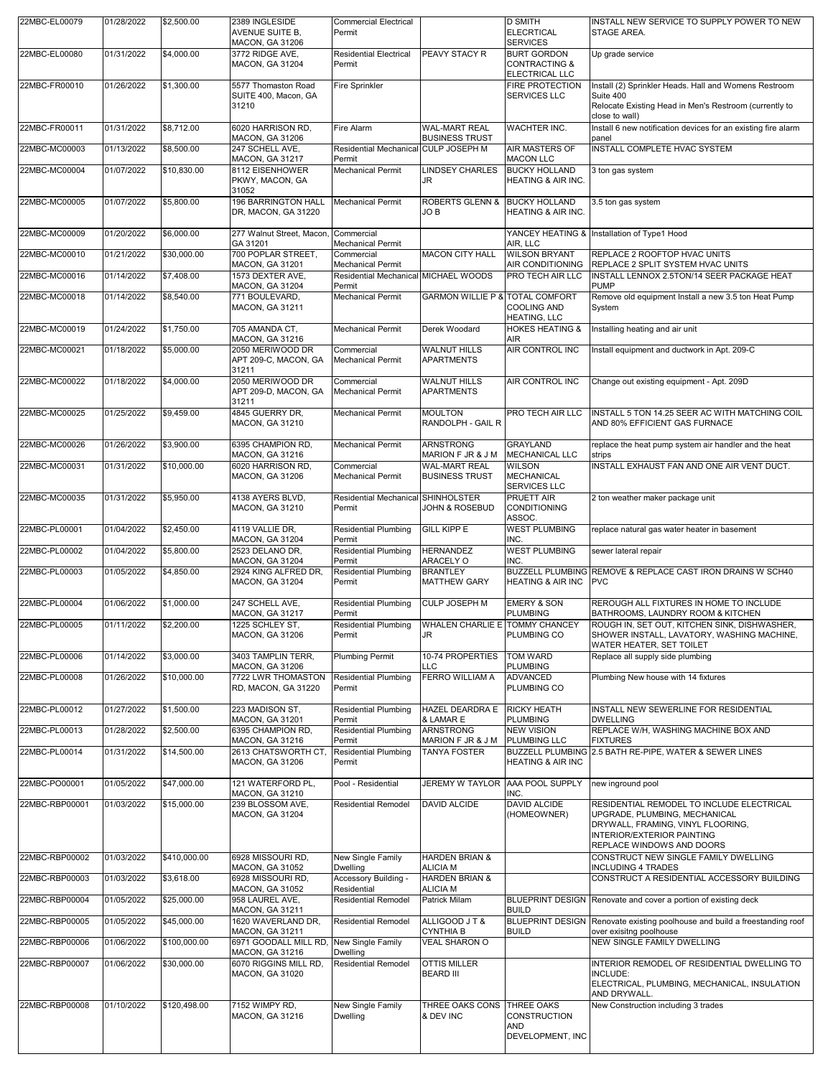| 22MBC-EL00079  | 01/28/2022 | \$2,500.00   | 2389 INGLESIDE<br><b>AVENUE SUITE B.</b><br>MACON, GA 31206           | Commercial Electrical<br>Permit                               |                                               | <b>D SMITH</b><br><b>ELECRTICAL</b><br><b>SERVICES</b>                    | INSTALL NEW SERVICE TO SUPPLY POWER TO NEW<br>STAGE AREA.                                                                                                                  |
|----------------|------------|--------------|-----------------------------------------------------------------------|---------------------------------------------------------------|-----------------------------------------------|---------------------------------------------------------------------------|----------------------------------------------------------------------------------------------------------------------------------------------------------------------------|
| 22MBC-EL00080  | 01/31/2022 | \$4,000.00   | 3772 RIDGE AVE,<br>MACON, GA 31204                                    | <b>Residential Electrical</b><br>Permit                       | PEAVY STACY R                                 | <b>BURT GORDON</b><br><b>CONTRACTING &amp;</b><br><b>ELECTRICAL LLC</b>   | Up grade service                                                                                                                                                           |
| 22MBC-FR00010  | 01/26/2022 | \$1,300.00   | 5577 Thomaston Road<br>SUITE 400, Macon, GA<br>31210                  | Fire Sprinkler                                                |                                               | <b>FIRE PROTECTION</b><br><b>SERVICES LLC</b>                             | Install (2) Sprinkler Heads. Hall and Womens Restroom<br>Suite 400<br>Relocate Existing Head in Men's Restroom (currently to                                               |
| 22MBC-FR00011  | 01/31/2022 | \$8,712.00   | 6020 HARRISON RD,                                                     | <b>Fire Alarm</b>                                             | <b>WAL-MART REAL</b>                          | <b>WACHTER INC.</b>                                                       | close to wall)<br>Install 6 new notification devices for an existing fire alarm                                                                                            |
| 22MBC-MC00003  | 01/13/2022 | \$8,500.00   | <b>MACON, GA 31206</b><br>247 SCHELL AVE,                             | Residential Mechanical CULP JOSEPH M                          | <b>BUSINESS TRUST</b>                         | <b>AIR MASTERS OF</b>                                                     | panel<br>INSTALL COMPLETE HVAC SYSTEM                                                                                                                                      |
| 22MBC-MC00004  | 01/07/2022 | \$10,830.00  | <b>MACON, GA 31217</b><br>8112 EISENHOWER<br>PKWY, MACON, GA<br>31052 | Permit<br>Mechanical Permit                                   | <b>LINDSEY CHARLES</b><br>JR.                 | <b>MACON LLC</b><br><b>BUCKY HOLLAND</b><br><b>HEATING &amp; AIR INC.</b> | 3 ton gas system                                                                                                                                                           |
| 22MBC-MC00005  | 01/07/2022 | \$5,800.00   | <b>196 BARRINGTON HALL</b><br>DR, MACON, GA 31220                     | <b>Mechanical Permit</b>                                      | <b>ROBERTS GLENN &amp;</b><br>JO B            | <b>BUCKY HOLLAND</b><br><b>HEATING &amp; AIR INC.</b>                     | 3.5 ton gas system                                                                                                                                                         |
| 22MBC-MC00009  | 01/20/2022 | \$6,000.00   | 277 Walnut Street, Macon,<br>GA 31201                                 | Commercial<br>Mechanical Permit                               |                                               | AIR, LLC                                                                  | YANCEY HEATING & Installation of Type1 Hood                                                                                                                                |
| 22MBC-MC00010  | 01/21/2022 | \$30,000.00  | 700 POPLAR STREET,<br><b>MACON, GA 31201</b>                          | Commercial<br><b>Mechanical Permit</b>                        | <b>MACON CITY HALL</b>                        | <b>WILSON BRYANT</b><br>AIR CONDITIONING                                  | REPLACE 2 ROOFTOP HVAC UNITS<br>REPLACE 2 SPLIT SYSTEM HVAC UNITS                                                                                                          |
| 22MBC-MC00016  | 01/14/2022 | \$7,408.00   | 1573 DEXTER AVE,<br>MACON, GA 31204                                   | Residential Mechanical MICHAEL WOODS<br>Permit                |                                               | PRO TECH AIR LLC                                                          | INSTALL LENNOX 2.5TON/14 SEER PACKAGE HEAT<br><b>PUMP</b>                                                                                                                  |
| 22MBC-MC00018  | 01/14/2022 | \$8,540.00   | 771 BOULEVARD,<br>MACON, GA 31211                                     | Mechanical Permit                                             | <b>GARMON WILLIE P &amp; TOTAL COMFORT</b>    | <b>COOLING AND</b><br><b>HEATING, LLC</b>                                 | Remove old equipment Install a new 3.5 ton Heat Pump<br>System                                                                                                             |
| 22MBC-MC00019  | 01/24/2022 | \$1,750.00   | 705 AMANDA CT,<br><b>MACON, GA 31216</b>                              | Mechanical Permit                                             | Derek Woodard                                 | <b>HOKES HEATING &amp;</b><br><b>AIR</b>                                  | Installing heating and air unit                                                                                                                                            |
| 22MBC-MC00021  | 01/18/2022 | \$5,000.00   | 2050 MERIWOOD DR<br>APT 209-C, MACON, GA<br>31211                     | Commercial<br><b>Mechanical Permit</b>                        | <b>WALNUT HILLS</b><br><b>APARTMENTS</b>      | <b>AIR CONTROL INC</b>                                                    | Install equipment and ductwork in Apt. 209-C                                                                                                                               |
| 22MBC-MC00022  | 01/18/2022 | \$4,000.00   | 2050 MERIWOOD DR<br>APT 209-D, MACON, GA<br>31211                     | Commercial<br>Mechanical Permit                               | <b>WALNUT HILLS</b><br><b>APARTMENTS</b>      | AIR CONTROL INC                                                           | Change out existing equipment - Apt. 209D                                                                                                                                  |
| 22MBC-MC00025  | 01/25/2022 | \$9,459.00   | 4845 GUERRY DR,<br>MACON, GA 31210                                    | <b>Mechanical Permit</b>                                      | <b>MOULTON</b><br>RANDOLPH - GAIL R           | PRO TECH AIR LLC                                                          | INSTALL 5 TON 14.25 SEER AC WITH MATCHING COIL<br>AND 80% EFFICIENT GAS FURNACE                                                                                            |
| 22MBC-MC00026  | 01/26/2022 | \$3,900.00   | 6395 CHAMPION RD,<br>MACON, GA 31216                                  | Mechanical Permit                                             | <b>ARNSTRONG</b><br>MARION F JR & J M         | <b>GRAYLAND</b><br>MECHANICAL LLC                                         | replace the heat pump system air handler and the heat<br>strips                                                                                                            |
| 22MBC-MC00031  | 01/31/2022 | \$10,000.00  | 6020 HARRISON RD,<br><b>MACON, GA 31206</b>                           | Commercial<br><b>Mechanical Permit</b>                        | <b>WAL-MART REAL</b><br><b>BUSINESS TRUST</b> | <b>WILSON</b><br><b>MECHANICAL</b><br><b>SERVICES LLC</b>                 | INSTALL EXHAUST FAN AND ONE AIR VENT DUCT.                                                                                                                                 |
| 22MBC-MC00035  | 01/31/2022 | \$5,950.00   | 4138 AYERS BLVD,<br><b>MACON, GA 31210</b>                            | Residential Mechanical SHINHOLSTER<br>Permit                  | <b>JOHN &amp; ROSEBUD</b>                     | <b>PRUETT AIR</b><br><b>CONDITIONING</b><br>ASSOC.                        | 2 ton weather maker package unit                                                                                                                                           |
| 22MBC-PL00001  | 01/04/2022 | \$2,450.00   | 4119 VALLIE DR,<br>MACON, GA 31204                                    | <b>Residential Plumbing</b><br>Permit                         | <b>GILL KIPP E</b>                            | <b>WEST PLUMBING</b><br>INC.                                              | replace natural gas water heater in basement                                                                                                                               |
| 22MBC-PL00002  | 01/04/2022 | \$5,800.00   | 2523 DELANO DR.<br>MACON, GA 31204                                    | <b>Residential Plumbing</b><br>Permit                         | <b>HERNANDEZ</b><br>ARACELY O                 | <b>WEST PLUMBING</b><br>INC.                                              | sewer lateral repair                                                                                                                                                       |
| 22MBC-PL00003  | 01/05/2022 | \$4,850.00   | 2924 KING ALFRED DR.<br>MACON, GA 31204                               | <b>Residential Plumbing</b><br>Permit                         | <b>BRANTLEY</b><br><b>MATTHEW GARY</b>        | <b>HEATING &amp; AIR INC</b>                                              | BUZZELL PLUMBING REMOVE & REPLACE CAST IRON DRAINS W SCH40<br><b>PVC</b>                                                                                                   |
| 22MBC-PL00004  | 01/06/2022 | \$1,000.00   | 247 SCHELL AVE,<br><b>MACON, GA 31217</b>                             | <b>Residential Plumbing</b><br>Permit                         | <b>CULP JOSEPH M</b>                          | <b>EMERY &amp; SON</b><br><b>PLUMBING</b>                                 | REROUGH ALL FIXTURES IN HOME TO INCLUDE<br>BATHROOMS, LAUNDRY ROOM & KITCHEN                                                                                               |
| 22MBC-PL00005  | 01/11/2022 | \$2,200.00   | 1225 SCHLEY ST,<br><b>MACON, GA 31206</b>                             | Residential Plumbing WHALEN CHARLIE E TOMMY CHANCEY<br>Permit | <b>JR</b>                                     | PLUMBING CO                                                               | ROUGH IN, SET OUT, KITCHEN SINK, DISHWASHER,<br>SHOWER INSTALL, LAVATORY, WASHING MACHINE,<br>WATER HEATER, SET TOILET                                                     |
| 22MBC-PL00006  | 01/14/2022 | \$3,000.00   | 3403 TAMPLIN TERR,<br><b>MACON, GA 31206</b>                          | <b>Plumbing Permit</b>                                        | 10-74 PROPERTIES<br><b>LLC</b>                | <b>TOM WARD</b><br><b>PLUMBING</b>                                        | Replace all supply side plumbing                                                                                                                                           |
| 22MBC-PL00008  | 01/26/2022 | \$10,000.00  | 7722 LWR THOMASTON<br>RD, MACON, GA 31220                             | <b>Residential Plumbing</b><br>Permit                         | <b>FERRO WILLIAM A</b>                        | <b>ADVANCED</b><br>PLUMBING CO                                            | Plumbing New house with 14 fixtures                                                                                                                                        |
| 22MBC-PL00012  | 01/27/2022 | \$1,500.00   | 223 MADISON ST.<br>MACON, GA 31201                                    | <b>Residential Plumbing</b><br>Permit                         | <b>HAZEL DEARDRA E</b><br>& LAMAR E           | <b>RICKY HEATH</b><br><b>PLUMBING</b>                                     | INSTALL NEW SEWERLINE FOR RESIDENTIAL<br><b>DWELLING</b>                                                                                                                   |
| 22MBC-PL00013  | 01/28/2022 | \$2,500.00   | 6395 CHAMPION RD,<br>MACON, GA 31216                                  | <b>Residential Plumbing</b><br>Permit                         | <b>ARNSTRONG</b><br>MARION F JR & J M         | <b>NEW VISION</b><br>PLUMBING LLC                                         | REPLACE W/H, WASHING MACHINE BOX AND<br><b>FIXTURES</b>                                                                                                                    |
| 22MBC-PL00014  | 01/31/2022 | \$14,500.00  | 2613 CHATSWORTH CT.<br><b>MACON, GA 31206</b>                         | <b>Residential Plumbing</b><br>Permit                         | <b>TANYA FOSTER</b>                           | <b>BUZZELL PLUMBING</b><br><b>HEATING &amp; AIR INC</b>                   | 2.5 BATH RE-PIPE. WATER & SEWER LINES                                                                                                                                      |
| 22MBC-PO00001  | 01/05/2022 | \$47,000.00  | 121 WATERFORD PL,<br>MACON, GA 31210                                  | Pool - Residential                                            | JEREMY W TAYLOR AAA POOL SUPPLY               | INC.                                                                      | new inground pool                                                                                                                                                          |
| 22MBC-RBP00001 | 01/03/2022 | \$15,000.00  | 239 BLOSSOM AVE,<br>MACON, GA 31204                                   | <b>Residential Remodel</b>                                    | <b>DAVID ALCIDE</b>                           | <b>DAVID ALCIDE</b><br>(HOMEOWNER)                                        | RESIDENTIAL REMODEL TO INCLUDE ELECTRICAL<br>UPGRADE, PLUMBING, MECHANICAL<br>DRYWALL, FRAMING, VINYL FLOORING,<br>INTERIOR/EXTERIOR PAINTING<br>REPLACE WINDOWS AND DOORS |
| 22MBC-RBP00002 | 01/03/2022 | \$410,000.00 | 6928 MISSOURI RD,<br><b>MACON, GA 31052</b>                           | New Single Family<br><b>Dwelling</b>                          | <b>HARDEN BRIAN &amp;</b><br><b>ALICIA M</b>  |                                                                           | CONSTRUCT NEW SINGLE FAMILY DWELLING<br><b>INCLUDING 4 TRADES</b>                                                                                                          |
| 22MBC-RBP00003 | 01/03/2022 | \$3,618.00   | 6928 MISSOURI RD,<br>MACON, GA 31052                                  | Accessory Building -<br>Residential                           | <b>HARDEN BRIAN &amp;</b><br><b>ALICIA M</b>  |                                                                           | CONSTRUCT A RESIDENTIAL ACCESSORY BUILDING                                                                                                                                 |
| 22MBC-RBP00004 | 01/05/2022 | \$25,000.00  | 958 LAUREL AVE,<br>MACON, GA 31211                                    | <b>Residential Remodel</b>                                    | <b>Patrick Milam</b>                          | <b>BUILD</b>                                                              | BLUEPRINT DESIGN Renovate and cover a portion of existing deck                                                                                                             |
| 22MBC-RBP00005 | 01/05/2022 | \$45,000.00  | 1620 WAVERLAND DR,<br>MACON, GA 31211                                 | <b>Residential Remodel</b>                                    | ALLIGOOD JT &<br><b>CYNTHIA B</b>             | <b>BLUEPRINT DESIGN</b><br><b>BUILD</b>                                   | Renovate existing poolhouse and build a freestanding roof<br>over exisitng poolhouse                                                                                       |
| 22MBC-RBP00006 | 01/06/2022 | \$100,000.00 | 6971 GOODALL MILL RD,<br>MACON, GA 31216                              | New Single Family<br>Dwelling                                 | <b>VEAL SHARON O</b>                          |                                                                           | NEW SINGLE FAMILY DWELLING                                                                                                                                                 |
| 22MBC-RBP00007 | 01/06/2022 | \$30,000.00  | 6070 RIGGINS MILL RD,<br><b>MACON, GA 31020</b>                       | <b>Residential Remodel</b>                                    | <b>OTTIS MILLER</b><br><b>BEARD III</b>       |                                                                           | INTERIOR REMODEL OF RESIDENTIAL DWELLING TO<br>INCLUDE:<br>ELECTRICAL, PLUMBING, MECHANICAL, INSULATION<br>AND DRYWALL.                                                    |
| 22MBC-RBP00008 | 01/10/2022 | \$120,498.00 | 7152 WIMPY RD,<br>MACON, GA 31216                                     | New Single Family<br>Dwelling                                 | THREE OAKS CONS THREE OAKS<br>& DEV INC       | <b>CONSTRUCTION</b><br><b>AND</b><br>DEVELOPMENT, INC                     | New Construction including 3 trades                                                                                                                                        |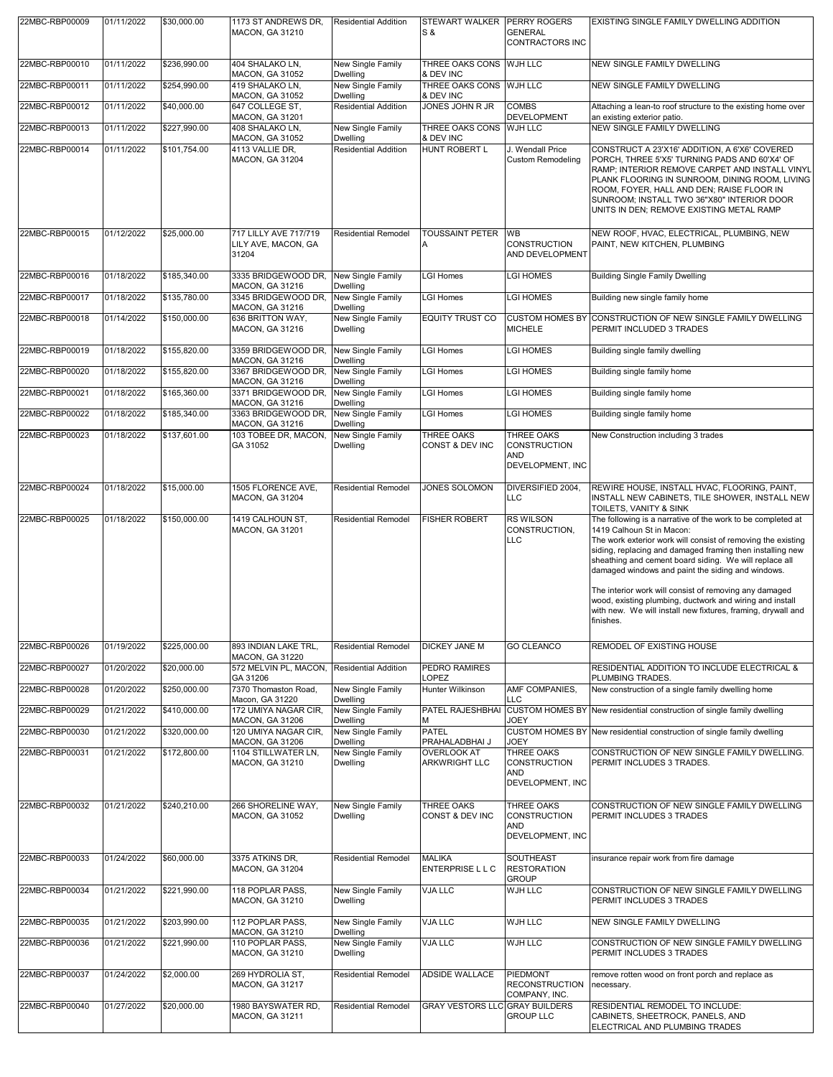| 22MBC-RBP00009 | 01/11/2022 | \$30,000.00  | 1173 ST ANDREWS DR,<br>MACON, GA 31210                    | <b>Residential Addition</b>                                    | STEWART WALKER PERRY ROGERS<br>S &         | <b>GENERAL</b><br>CONTRACTORS INC                                   | EXISTING SINGLE FAMILY DWELLING ADDITION                                                                                                                                                                                                                                                                                                                                                                                                                                                                                                |
|----------------|------------|--------------|-----------------------------------------------------------|----------------------------------------------------------------|--------------------------------------------|---------------------------------------------------------------------|-----------------------------------------------------------------------------------------------------------------------------------------------------------------------------------------------------------------------------------------------------------------------------------------------------------------------------------------------------------------------------------------------------------------------------------------------------------------------------------------------------------------------------------------|
| 22MBC-RBP00010 | 01/11/2022 | \$236,990.00 | 404 SHALAKO LN,<br>MACON, GA 31052                        | New Single Family<br>Dwelling                                  | THREE OAKS CONS WJH LLC<br>& DEV INC       |                                                                     | NEW SINGLE FAMILY DWELLING                                                                                                                                                                                                                                                                                                                                                                                                                                                                                                              |
| 22MBC-RBP00011 | 01/11/2022 | \$254,990.00 | 419 SHALAKO LN,<br>MACON, GA 31052                        | <b>New Single Family</b><br>Dwelling                           | THREE OAKS CONS WJH LLC<br>& DEV INC       |                                                                     | NEW SINGLE FAMILY DWELLING                                                                                                                                                                                                                                                                                                                                                                                                                                                                                                              |
| 22MBC-RBP00012 | 01/11/2022 | \$40,000.00  | 647 COLLEGE ST.<br>MACON, GA 31201                        | <b>Residential Addition</b>                                    | JONES JOHN R JR                            | <b>COMBS</b><br><b>DEVELOPMENT</b>                                  | Attaching a lean-to roof structure to the existing home over<br>an existing exterior patio.                                                                                                                                                                                                                                                                                                                                                                                                                                             |
| 22MBC-RBP00013 | 01/11/2022 | \$227,990.00 | 408 SHALAKO LN,<br>MACON, GA 31052                        | New Single Family<br>Dwelling                                  | THREE OAKS CONS WJH LLC<br>& DEV INC       |                                                                     | NEW SINGLE FAMILY DWELLING                                                                                                                                                                                                                                                                                                                                                                                                                                                                                                              |
| 22MBC-RBP00014 | 01/11/2022 | \$101,754.00 | 4113 VALLIE DR,<br>MACON, GA 31204                        | <b>Residential Addition</b>                                    | HUNT ROBERT L                              | J. Wendall Price<br><b>Custom Remodeling</b>                        | CONSTRUCT A 23'X16' ADDITION, A 6'X6' COVERED<br>PORCH, THREE 5'X5' TURNING PADS AND 60'X4' OF<br>RAMP; INTERIOR REMOVE CARPET AND INSTALL VINYL<br>PLANK FLOORING IN SUNROOM, DINING ROOM, LIVING<br>ROOM, FOYER, HALL AND DEN; RAISE FLOOR IN<br>SUNROOM; INSTALL TWO 36"X80" INTERIOR DOOR<br>UNITS IN DEN; REMOVE EXISTING METAL RAMP                                                                                                                                                                                               |
| 22MBC-RBP00015 | 01/12/2022 | \$25,000.00  | 717 LILLY AVE 717/719<br>LILY AVE, MACON, GA<br>31204     | <b>Residential Remodel</b>                                     | <b>TOUSSAINT PETER</b><br>А                | <b>WB</b><br>CONSTRUCTION<br>AND DEVELOPMENT                        | NEW ROOF, HVAC, ELECTRICAL, PLUMBING, NEW<br>PAINT, NEW KITCHEN, PLUMBING                                                                                                                                                                                                                                                                                                                                                                                                                                                               |
| 22MBC-RBP00016 | 01/18/2022 | \$185,340.00 | 3335 BRIDGEWOOD DR,                                       | New Single Family                                              | <b>LGI Homes</b>                           | <b>LGI HOMES</b>                                                    | <b>Building Single Family Dwelling</b>                                                                                                                                                                                                                                                                                                                                                                                                                                                                                                  |
| 22MBC-RBP00017 | 01/18/2022 | \$135,780.00 | MACON, GA 31216<br>3345 BRIDGEWOOD DR.<br>MACON, GA 31216 | <b>Dwelling</b><br><b>New Single Family</b><br><b>Dwelling</b> | <b>LGI Homes</b>                           | <b>LGI HOMES</b>                                                    | Building new single family home                                                                                                                                                                                                                                                                                                                                                                                                                                                                                                         |
| 22MBC-RBP00018 | 01/14/2022 | \$150,000.00 | 636 BRITTON WAY,<br>MACON, GA 31216                       | <b>New Single Family</b><br><b>Dwelling</b>                    | <b>EQUITY TRUST CO</b>                     | <b>MICHELE</b>                                                      | CUSTOM HOMES BY CONSTRUCTION OF NEW SINGLE FAMILY DWELLING<br>PERMIT INCLUDED 3 TRADES                                                                                                                                                                                                                                                                                                                                                                                                                                                  |
| 22MBC-RBP00019 | 01/18/2022 | \$155,820.00 | 3359 BRIDGEWOOD DR.<br>MACON, GA 31216                    | New Single Family<br><b>Dwelling</b>                           | <b>LGI Homes</b>                           | <b>LGI HOMES</b>                                                    | Building single family dwelling                                                                                                                                                                                                                                                                                                                                                                                                                                                                                                         |
| 22MBC-RBP00020 | 01/18/2022 | \$155,820.00 | 3367 BRIDGEWOOD DR.<br>MACON, GA 31216                    | New Single Family<br><b>Dwelling</b>                           | <b>LGI Homes</b>                           | LGI HOMES                                                           | Building single family home                                                                                                                                                                                                                                                                                                                                                                                                                                                                                                             |
| 22MBC-RBP00021 | 01/18/2022 | \$165,360.00 | 3371 BRIDGEWOOD DR.<br>MACON, GA 31216                    | New Single Family<br><b>Dwelling</b>                           | LGI Homes                                  | <b>LGI HOMES</b>                                                    | Building single family home                                                                                                                                                                                                                                                                                                                                                                                                                                                                                                             |
| 22MBC-RBP00022 | 01/18/2022 | \$185,340.00 | 3363 BRIDGEWOOD DR,<br>MACON, GA 31216                    | New Single Family<br>Dwelling                                  | <b>LGI Homes</b>                           | <b>LGI HOMES</b>                                                    | Building single family home                                                                                                                                                                                                                                                                                                                                                                                                                                                                                                             |
| 22MBC-RBP00023 | 01/18/2022 | \$137,601.00 | 103 TOBEE DR, MACON,<br>GA 31052                          | New Single Family<br><b>Dwelling</b>                           | THREE OAKS<br>CONST & DEV INC              | THREE OAKS<br><b>CONSTRUCTION</b><br><b>AND</b><br>DEVELOPMENT, INC | New Construction including 3 trades                                                                                                                                                                                                                                                                                                                                                                                                                                                                                                     |
| 22MBC-RBP00024 | 01/18/2022 | \$15,000.00  | 1505 FLORENCE AVE,<br>MACON, GA 31204                     | <b>Residential Remodel</b>                                     | JONES SOLOMON                              | DIVERSIFIED 2004,<br><b>LLC</b>                                     | REWIRE HOUSE, INSTALL HVAC, FLOORING, PAINT,<br>INSTALL NEW CABINETS, TILE SHOWER, INSTALL NEW<br>TOILETS, VANITY & SINK                                                                                                                                                                                                                                                                                                                                                                                                                |
| 22MBC-RBP00025 | 01/18/2022 | \$150,000.00 | 1419 CALHOUN ST,<br>MACON, GA 31201                       | <b>Residential Remodel</b>                                     | <b>FISHER ROBERT</b>                       | <b>RS WILSON</b><br>CONSTRUCTION.<br><b>LLC</b>                     | The following is a narrative of the work to be completed at<br>1419 Calhoun St in Macon:<br>The work exterior work will consist of removing the existing<br>siding, replacing and damaged framing then installing new<br>sheathing and cement board siding. We will replace all<br>damaged windows and paint the siding and windows.<br>The interior work will consist of removing any damaged<br>wood, existing plumbing, ductwork and wiring and install<br>with new. We will install new fixtures, framing, drywall and<br>finishes. |
| 22MBC-RBP00026 | 01/19/2022 | \$225,000.00 | 893 INDIAN LAKE TRL,<br>MACON, GA 31220                   | <b>Residential Remodel</b>                                     | <b>DICKEY JANE M</b>                       | <b>GO CLEANCO</b>                                                   | REMODEL OF EXISTING HOUSE                                                                                                                                                                                                                                                                                                                                                                                                                                                                                                               |
| 22MBC-RBP00027 | 01/20/2022 | \$20,000.00  | 572 MELVIN PL, MACON,<br>GA 31206                         | <b>Residential Addition</b>                                    | PEDRO RAMIRES<br>LOPEZ                     |                                                                     | RESIDENTIAL ADDITION TO INCLUDE ELECTRICAL &<br>PLUMBING TRADES.                                                                                                                                                                                                                                                                                                                                                                                                                                                                        |
| 22MBC-RBP00028 | 01/20/2022 | \$250,000.00 | 7370 Thomaston Road,<br>Macon, GA 31220                   | New Single Family<br>Dwelling                                  | Hunter Wilkinson                           | AMF COMPANIES,<br><b>LLC</b>                                        | New construction of a single family dwelling home                                                                                                                                                                                                                                                                                                                                                                                                                                                                                       |
| 22MBC-RBP00029 | 01/21/2022 | \$410,000.00 | 172 UMIYA NAGAR CIR.<br><b>MACON, GA 31206</b>            | New Single Family<br><b>Dwelling</b>                           | PATEL RAJESHBHAI<br>M                      | JOEY                                                                | CUSTOM HOMES BY New residential construction of single family dwelling                                                                                                                                                                                                                                                                                                                                                                                                                                                                  |
| 22MBC-RBP00030 | 01/21/2022 | \$320,000.00 | 120 UMIYA NAGAR CIR,<br><b>MACON, GA 31206</b>            | New Single Family<br>Dwelling                                  | <b>PATEL</b><br>PRAHALADBHAI J             | JOEY                                                                | CUSTOM HOMES BY New residential construction of single family dwelling                                                                                                                                                                                                                                                                                                                                                                                                                                                                  |
| 22MBC-RBP00031 | 01/21/2022 | \$172,800.00 | 1104 STILLWATER LN.<br>MACON, GA 31210                    | <b>New Single Family</b><br><b>Dwelling</b>                    | <b>OVERLOOK AT</b><br><b>ARKWRIGHT LLC</b> | THREE OAKS<br><b>CONSTRUCTION</b><br><b>AND</b><br>DEVELOPMENT, INC | CONSTRUCTION OF NEW SINGLE FAMILY DWELLING.<br>PERMIT INCLUDES 3 TRADES.                                                                                                                                                                                                                                                                                                                                                                                                                                                                |
| 22MBC-RBP00032 | 01/21/2022 | \$240,210.00 | 266 SHORELINE WAY,<br>MACON, GA 31052                     | New Single Family<br>Dwelling                                  | THREE OAKS<br>CONST & DEV INC              | THREE OAKS<br><b>CONSTRUCTION</b><br><b>AND</b><br>DEVELOPMENT, INC | CONSTRUCTION OF NEW SINGLE FAMILY DWELLING<br>PERMIT INCLUDES 3 TRADES                                                                                                                                                                                                                                                                                                                                                                                                                                                                  |
| 22MBC-RBP00033 | 01/24/2022 | \$60,000.00  | 3375 ATKINS DR.<br>MACON, GA 31204                        | <b>Residential Remodel</b>                                     | <b>MALIKA</b><br><b>ENTERPRISE L L C</b>   | <b>SOUTHEAST</b><br><b>RESTORATION</b><br><b>GROUP</b>              | insurance repair work from fire damage                                                                                                                                                                                                                                                                                                                                                                                                                                                                                                  |
| 22MBC-RBP00034 | 01/21/2022 | \$221,990.00 | 118 POPLAR PASS,<br>MACON, GA 31210                       | New Single Family<br>Dwelling                                  | <b>VJA LLC</b>                             | <b>WJH LLC</b>                                                      | CONSTRUCTION OF NEW SINGLE FAMILY DWELLING<br>PERMIT INCLUDES 3 TRADES                                                                                                                                                                                                                                                                                                                                                                                                                                                                  |
| 22MBC-RBP00035 | 01/21/2022 | \$203,990.00 | 112 POPLAR PASS,<br><b>MACON, GA 31210</b>                | New Single Family<br>Dwelling                                  | VJA LLC                                    | WJH LLC                                                             | NEW SINGLE FAMILY DWELLING                                                                                                                                                                                                                                                                                                                                                                                                                                                                                                              |
| 22MBC-RBP00036 | 01/21/2022 | \$221,990.00 | 110 POPLAR PASS,<br>MACON, GA 31210                       | New Single Family<br><b>Dwelling</b>                           | VJA LLC                                    | WJH LLC                                                             | CONSTRUCTION OF NEW SINGLE FAMILY DWELLING<br>PERMIT INCLUDES 3 TRADES                                                                                                                                                                                                                                                                                                                                                                                                                                                                  |
| 22MBC-RBP00037 | 01/24/2022 | \$2,000.00   | 269 HYDROLIA ST,<br><b>MACON, GA 31217</b>                | <b>Residential Remodel</b>                                     | <b>ADSIDE WALLACE</b>                      | <b>PIEDMONT</b><br><b>RECONSTRUCTION</b><br>COMPANY, INC.           | remove rotten wood on front porch and replace as<br>necessary.                                                                                                                                                                                                                                                                                                                                                                                                                                                                          |
| 22MBC-RBP00040 | 01/27/2022 | \$20,000.00  | 1980 BAYSWATER RD,<br>MACON, GA 31211                     | <b>Residential Remodel</b>                                     | <b>GRAY VESTORS LLC GRAY BUILDERS</b>      | <b>GROUP LLC</b>                                                    | RESIDENTIAL REMODEL TO INCLUDE:<br>CABINETS, SHEETROCK, PANELS, AND<br>ELECTRICAL AND PLUMBING TRADES                                                                                                                                                                                                                                                                                                                                                                                                                                   |